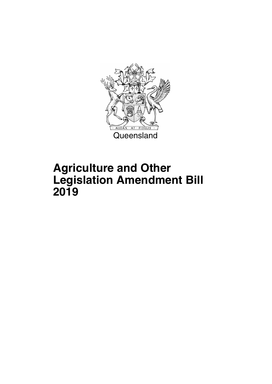

## **Agriculture and Other Legislation Amendment Bill 2019**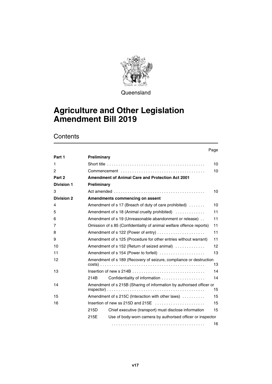

**Queensland** 

### **Agriculture and Other Legislation Amendment Bill 2019**

|                   |             |                                                                                                   | Page |
|-------------------|-------------|---------------------------------------------------------------------------------------------------|------|
| Part 1            | Preliminary |                                                                                                   |      |
| 1                 |             |                                                                                                   | 10   |
| 2                 |             |                                                                                                   | 10   |
| Part 2            |             | <b>Amendment of Animal Care and Protection Act 2001</b>                                           |      |
| <b>Division 1</b> | Preliminary |                                                                                                   |      |
| 3                 |             | Act amended $\ldots \ldots \ldots \ldots \ldots \ldots \ldots \ldots \ldots \ldots \ldots \ldots$ | 10   |
| <b>Division 2</b> |             | Amendments commencing on assent                                                                   |      |
| 4                 |             | Amendment of $s$ 17 (Breach of duty of care prohibited) $\dots\dots$                              | 10   |
| 5                 |             | Amendment of s 18 (Animal cruelty prohibited)                                                     | 11   |
| 6                 |             | Amendment of s 19 (Unreasonable abandonment or release)                                           | 11   |
| 7                 |             | Omission of s 85 (Confidentiality of animal welfare offence reports)                              | 11   |
| 8                 |             | Amendment of s 122 (Power of entry)                                                               | 11   |
| 9                 |             | Amendment of s 125 (Procedure for other entries without warrant)                                  | 11   |
| 10                |             | Amendment of s 152 (Return of seized animal)                                                      | 12   |
| 11                |             | Amendment of s 154 (Power to forfeit)                                                             | 13   |
| 12                |             | Amendment of s 189 (Recovery of seizure, compliance or destruction                                | 13   |
| 13                |             |                                                                                                   | 14   |
|                   | 214B        | Confidentiality of information                                                                    | 14   |
| 14                |             | Amendment of s 215B (Sharing of information by authorised officer or                              | 15   |
| 15                |             | Amendment of s 215C (Interaction with other laws)                                                 | 15   |
| 16                |             | Insertion of new ss 215D and 215E $\ldots$ , $\ldots$ , $\ldots$                                  | 15   |
|                   | 215D        | Chief executive (transport) must disclose information                                             | 15   |
|                   | 215E        | Use of body-worn camera by authorised officer or inspector                                        |      |
|                   |             |                                                                                                   | 16   |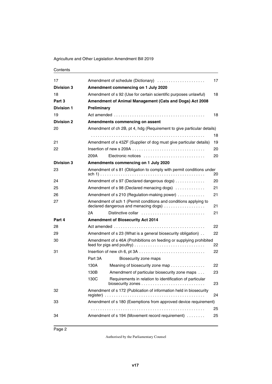| 17                |                                     | Amendment of schedule (Dictionary)                                                                        | 17 |  |  |
|-------------------|-------------------------------------|-----------------------------------------------------------------------------------------------------------|----|--|--|
| <b>Division 3</b> | Amendment commencing on 1 July 2020 |                                                                                                           |    |  |  |
| 18                |                                     | Amendment of s 92 (Use for certain scientific purposes unlawful)                                          | 18 |  |  |
| Part 3            |                                     | Amendment of Animal Management (Cats and Dogs) Act 2008                                                   |    |  |  |
| <b>Division 1</b> | Preliminary                         |                                                                                                           |    |  |  |
| 19                |                                     |                                                                                                           | 18 |  |  |
| <b>Division 2</b> |                                     | Amendments commencing on assent                                                                           |    |  |  |
| 20                |                                     | Amendment of ch 2B, pt 4, hdg (Requirement to give particular details)                                    |    |  |  |
|                   |                                     |                                                                                                           | 18 |  |  |
| 21                |                                     | Amendment of s 43ZF (Supplier of dog must give particular details)                                        | 19 |  |  |
| 22                |                                     |                                                                                                           | 20 |  |  |
|                   | 209A                                | Electronic notices                                                                                        | 20 |  |  |
| <b>Division 3</b> |                                     | Amendments commencing on 1 July 2020                                                                      |    |  |  |
| 23                |                                     | Amendment of s 81 (Obligation to comply with permit conditions under                                      |    |  |  |
|                   |                                     |                                                                                                           | 20 |  |  |
| 24                |                                     | Amendment of s 97 (Declared dangerous dogs)                                                               | 20 |  |  |
| 25                |                                     | Amendment of s 98 (Declared menacing dogs)                                                                | 21 |  |  |
| 26                |                                     | Amendment of s 210 (Regulation-making power)                                                              | 21 |  |  |
| 27                |                                     | Amendment of sch 1 (Permit conditions and conditions applying to<br>declared dangerous and menacing dogs) | 21 |  |  |
|                   | 2A                                  | Distinctive collar                                                                                        | 21 |  |  |
| Part 4            |                                     | <b>Amendment of Biosecurity Act 2014</b>                                                                  |    |  |  |
| 28                |                                     |                                                                                                           | 22 |  |  |
| 29                |                                     | Amendment of s 23 (What is a general biosecurity obligation)                                              | 22 |  |  |
| 30                |                                     | Amendment of s 46A (Prohibitions on feeding or supplying prohibited<br>feed for pigs and poultry)         | 22 |  |  |
| 31                |                                     |                                                                                                           | 22 |  |  |
|                   | Part 3A                             | Biosecurity zone maps                                                                                     |    |  |  |
|                   | 130A                                | Meaning of biosecurity zone map                                                                           | 22 |  |  |
|                   | 130B                                | Amendment of particular biosecurity zone maps                                                             | 23 |  |  |
|                   | 130C                                | Requirements in relation to identification of particular                                                  | 23 |  |  |
| 32                |                                     | Amendment of s 172 (Publication of information held in biosecurity                                        | 24 |  |  |
| 33                |                                     | Amendment of s 180 (Exemptions from approved device requirement)                                          |    |  |  |
|                   |                                     |                                                                                                           | 25 |  |  |
| 34                |                                     | Amendment of s 194 (Movement record requirement)                                                          | 25 |  |  |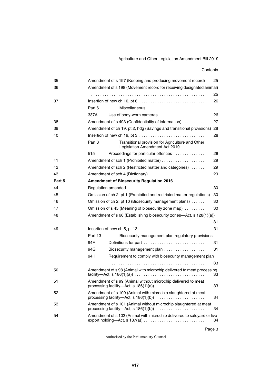#### Agriculture and Other Legislation Amendment Bill 2019

| 35     |                                                                      | Amendment of s 197 (Keeping and producing movement record)                                              | 25 |  |  |
|--------|----------------------------------------------------------------------|---------------------------------------------------------------------------------------------------------|----|--|--|
| 36     | Amendment of s 198 (Movement record for receiving designated animal) |                                                                                                         |    |  |  |
|        |                                                                      |                                                                                                         | 25 |  |  |
| 37     |                                                                      | Insertion of new ch 10, pt $6 \ldots \ldots \ldots \ldots \ldots \ldots \ldots \ldots \ldots$           | 26 |  |  |
|        | Part 6                                                               | Miscellaneous                                                                                           |    |  |  |
|        | 337A                                                                 | Use of body-worn cameras                                                                                | 26 |  |  |
| 38     |                                                                      | Amendment of s 493 (Confidentiality of information)                                                     | 27 |  |  |
| 39     |                                                                      | Amendment of ch 19, pt 2, hdg (Savings and transitional provisions) 28                                  |    |  |  |
| 40     |                                                                      |                                                                                                         | 28 |  |  |
|        | Part 3                                                               | Transitional provision for Agriculture and Other<br>Legislation Amendment Act 2019                      |    |  |  |
|        | 515                                                                  | Proceedings for particular offences                                                                     | 28 |  |  |
| 41     |                                                                      |                                                                                                         | 29 |  |  |
| 42     |                                                                      | Amendment of sch 2 (Restricted matter and categories)                                                   | 29 |  |  |
| 43     |                                                                      | Amendment of sch 4 (Dictionary)                                                                         | 29 |  |  |
| Part 5 |                                                                      | <b>Amendment of Biosecurity Regulation 2016</b>                                                         |    |  |  |
| 44     |                                                                      |                                                                                                         | 30 |  |  |
| 45     |                                                                      | Omission of ch 2, pt 1 (Prohibited and restricted matter regulations)                                   | 30 |  |  |
| 46     |                                                                      | Omission of ch 2, pt 10 (Biosecurity management plans)                                                  | 30 |  |  |
| 47     |                                                                      | Omission of s 45 (Meaning of biosecurity zone map)                                                      | 30 |  |  |
| 48     |                                                                      | Amendment of s 66 (Establishing biosecurity zones-Act, s 128(1)(a))                                     |    |  |  |
|        |                                                                      |                                                                                                         | 31 |  |  |
| 49     |                                                                      |                                                                                                         | 31 |  |  |
|        | Part 13                                                              | Biosecurity management plan regulatory provisions                                                       |    |  |  |
|        | 94F                                                                  | Definitions for part                                                                                    | 31 |  |  |
|        | 94G                                                                  | Biosecurity management plan                                                                             | 31 |  |  |
|        | 94H                                                                  | Requirement to comply with biosecurity management plan                                                  |    |  |  |
|        |                                                                      |                                                                                                         | 33 |  |  |
| 50     |                                                                      | Amendment of s 98 (Animal with microchip delivered to meat processing                                   | 33 |  |  |
| 51     |                                                                      | Amendment of s 99 (Animal without microchip delivered to meat<br>processing facility-Act, s $186(1)(a)$ | 33 |  |  |
| 52     |                                                                      | Amendment of s 100 (Animal with microchip slaughtered at meat<br>processing facility-Act, s $186(1)(b)$ | 34 |  |  |
| 53     |                                                                      | Amendment of s 101 (Animal without microchip slaughtered at meat                                        | 34 |  |  |
| 54     |                                                                      | Amendment of s 102 (Animal with microchip delivered to saleyard or live                                 | 34 |  |  |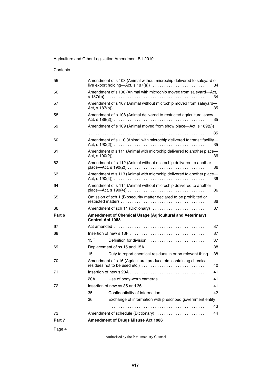| 55     |     | Amendment of s 103 (Animal without microchip delivered to saleyard or    | 34 |
|--------|-----|--------------------------------------------------------------------------|----|
| 56     |     | Amendment of s 106 (Animal with microchip moved from saleyard-Act,       | 34 |
| 57     |     | Amendment of s 107 (Animal without microchip moved from saleyard-        | 35 |
| 58     |     | Amendment of s 108 (Animal delivered to restricted agricultural show-    | 35 |
| 59     |     | Amendment of s 109 (Animal moved from show place—Act, s 189(2))          |    |
|        |     |                                                                          | 35 |
| 60     |     | Amendment of s 110 (Animal with microchip delivered to transit facility- | 35 |
| 61     |     | Amendment of s 111 (Animal with microchip delivered to another place-    | 36 |
| 62     |     | Amendment of s 112 (Animal without microchip delivered to another        | 36 |
| 63     |     | Amendment of s 113 (Animal with microchip delivered to another place-    | 36 |
| 64     |     | Amendment of s 114 (Animal without microchip delivered to another        | 36 |
| 65     |     | Omission of sch 1 (Biosecurity matter declared to be prohibited or       | 36 |
| 66     |     | Amendment of sch 11 (Dictionary)                                         | 37 |
| Part 6 |     | Amendment of Chemical Usage (Agricultural and Veterinary)                |    |
|        |     | <b>Control Act 1988</b>                                                  |    |
| 67     |     |                                                                          | 37 |
| 68     |     |                                                                          | 37 |
|        | 13F | Definition for division                                                  | 37 |
| 69     |     | Replacement of ss 15 and 15A                                             | 38 |
|        | 15  | Duty to report chemical residues in or on relevant thing                 | 38 |
| 70     |     | Amendment of s 16 (Agricultural produce etc. containing chemical         | 40 |
| 71     |     |                                                                          | 41 |
|        | 20A | Use of body-worn cameras                                                 | 41 |
| 72     |     |                                                                          | 41 |
|        | 35  | Confidentiality of information                                           | 42 |
|        | 36  | Exchange of information with prescribed government entity                |    |
|        |     |                                                                          | 43 |
| 73     |     | Amendment of schedule (Dictionary)                                       | 44 |
| Part 7 |     | <b>Amendment of Drugs Misuse Act 1986</b>                                |    |
|        |     |                                                                          |    |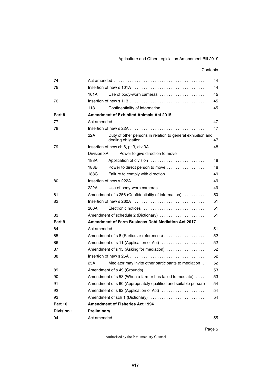| 74                |             |                                                                                                              | 44 |
|-------------------|-------------|--------------------------------------------------------------------------------------------------------------|----|
| 75                |             |                                                                                                              | 44 |
|                   | 101A        | Use of body-worn cameras                                                                                     | 45 |
| 76                |             |                                                                                                              | 45 |
|                   | 113         |                                                                                                              | 45 |
| Part 8            |             | <b>Amendment of Exhibited Animals Act 2015</b>                                                               |    |
| 77                |             |                                                                                                              | 47 |
| 78                |             | Insertion of new s 22A $\ldots$ , $\ldots$ , $\ldots$ , $\ldots$ , $\ldots$ , $\ldots$ , $\ldots$ , $\ldots$ | 47 |
|                   | 22A         | Duty of other persons in relation to general exhibition and<br>dealing obligation                            | 47 |
| 79                |             |                                                                                                              | 48 |
|                   | Division 3A | Power to give direction to move                                                                              |    |
|                   | 188A        | Application of division                                                                                      | 48 |
|                   | 188B        | Power to direct person to move                                                                               | 48 |
|                   | 188C        | Failure to comply with direction                                                                             | 49 |
| 80                |             |                                                                                                              | 49 |
|                   | 222A        | Use of body-worn cameras                                                                                     | 49 |
| 81                |             | Amendment of s 256 (Confidentiality of information)                                                          | 50 |
| 82                |             |                                                                                                              | 51 |
|                   | 260A        | Electronic notices                                                                                           | 51 |
| 83                |             | Amendment of schedule 2 (Dictionary)                                                                         | 51 |
| Part 9            |             | <b>Amendment of Farm Business Debt Mediation Act 2017</b>                                                    |    |
| 84                |             |                                                                                                              | 51 |
| 85                |             | Amendment of s 8 (Particular references)                                                                     | 52 |
| 86                |             | Amendment of s 11 (Application of Act)                                                                       | 52 |
| 87                |             | Amendment of s 15 (Asking for mediation)                                                                     | 52 |
| 88                |             |                                                                                                              | 52 |
|                   | 25A         | Mediator may invite other participants to mediation.                                                         | 52 |
| 89                |             | Amendment of s 49 (Grounds)                                                                                  | 53 |
| 90                |             | Amendment of s 53 (When a farmer has failed to mediate)                                                      | 53 |
| 91                |             | Amendment of s 60 (Appropriately qualified and suitable person)                                              | 54 |
| 92                |             | Amendment of s 92 (Application of Act)                                                                       | 54 |
| 93                |             | Amendment of sch 1 (Dictionary)                                                                              | 54 |
| Part 10           |             | <b>Amendment of Fisheries Act 1994</b>                                                                       |    |
| <b>Division 1</b> | Preliminary |                                                                                                              |    |
| 94                |             |                                                                                                              | 55 |
|                   |             |                                                                                                              |    |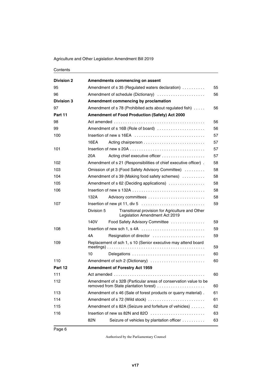| <b>Division 2</b> |                                                        | Amendments commencing on assent                                                                                          |    |  |
|-------------------|--------------------------------------------------------|--------------------------------------------------------------------------------------------------------------------------|----|--|
| 95                | Amendment of s 35 (Regulated waters declaration)<br>55 |                                                                                                                          |    |  |
| 96                |                                                        | Amendment of schedule (Dictionary)                                                                                       | 56 |  |
| <b>Division 3</b> |                                                        | Amendment commencing by proclamation                                                                                     |    |  |
| 97                |                                                        | Amendment of s 78 (Prohibited acts about regulated fish)                                                                 | 56 |  |
| Part 11           |                                                        | Amendment of Food Production (Safety) Act 2000                                                                           |    |  |
| 98                |                                                        |                                                                                                                          | 56 |  |
| 99                |                                                        | Amendment of s 16B (Role of board)                                                                                       | 56 |  |
| 100               |                                                        |                                                                                                                          | 57 |  |
|                   | 16EA                                                   |                                                                                                                          | 57 |  |
| 101               |                                                        |                                                                                                                          | 57 |  |
|                   | 20A                                                    | Acting chief executive officer                                                                                           | 57 |  |
| 102               |                                                        | Amendment of s 21 (Responsibilities of chief executive officer).                                                         | 58 |  |
| 103               |                                                        | Omission of pt 3 (Food Safety Advisory Committee)                                                                        | 58 |  |
| 104               |                                                        | Amendment of s 39 (Making food safety schemes)                                                                           | 58 |  |
| 105               |                                                        | Amendment of s 62 (Deciding applications)                                                                                | 58 |  |
| 106               |                                                        | Insertion of new s 132A $\ldots$ , $\ldots$ , $\ldots$ , $\ldots$ , $\ldots$ , $\ldots$ , $\ldots$ , $\ldots$ , $\ldots$ | 58 |  |
|                   | 132A                                                   |                                                                                                                          | 58 |  |
| 107               |                                                        |                                                                                                                          | 59 |  |
|                   | Division 5                                             | Transitional provision for Agriculture and Other<br>Legislation Amendment Act 2019                                       |    |  |
|                   | 140V                                                   | Food Safety Advisory Committee                                                                                           | 59 |  |
| 108               |                                                        |                                                                                                                          | 59 |  |
|                   | 4A                                                     | Resignation of director                                                                                                  | 59 |  |
| 109               |                                                        | Replacement of sch 1, s 10 (Senior executive may attend board                                                            | 59 |  |
|                   | 10                                                     | Delegations                                                                                                              | 60 |  |
| 110               |                                                        | Amendment of sch 2 (Dictionary)                                                                                          | 60 |  |
| Part 12           |                                                        | <b>Amendment of Forestry Act 1959</b>                                                                                    |    |  |
| 111               |                                                        |                                                                                                                          | 60 |  |
| 112               |                                                        | Amendment of s 32B (Particular areas of conservation value to be<br>removed from State plantation forest)                | 60 |  |
| 113               |                                                        | Amendment of s 46 (Sale of forest products or quarry material).                                                          | 61 |  |
| 114               |                                                        | Amendment of s 72 (Wild stock)                                                                                           | 61 |  |
| 115               |                                                        | Amendment of s 82A (Seizure and forfeiture of vehicles)                                                                  | 62 |  |
| 116               |                                                        | Insertion of new ss 82N and 82O                                                                                          | 63 |  |
|                   | 82N                                                    | Seizure of vehicles by plantation officer                                                                                | 63 |  |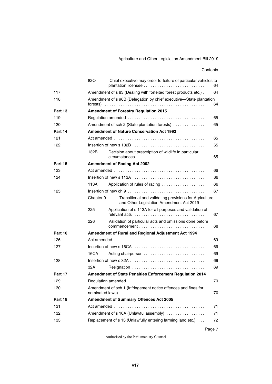|         | 820       | Chief executive may order forfeiture of particular vehicles to                                     | 64 |
|---------|-----------|----------------------------------------------------------------------------------------------------|----|
| 117     |           | Amendment of s 83 (Dealing with forfeited forest products etc.).                                   | 64 |
| 118     | forests)  | Amendment of s 96B (Delegation by chief executive-State plantation                                 | 64 |
| Part 13 |           | <b>Amendment of Forestry Regulation 2015</b>                                                       |    |
| 119     |           |                                                                                                    | 65 |
| 120     |           | Amendment of sch 2 (State plantation forests)                                                      | 65 |
| Part 14 |           | <b>Amendment of Nature Conservation Act 1992</b>                                                   |    |
| 121     |           |                                                                                                    | 65 |
| 122     |           |                                                                                                    | 65 |
|         | 132B      | Decision about prescription of wildlife in particular                                              |    |
|         |           | circumstances                                                                                      | 65 |
| Part 15 |           | <b>Amendment of Racing Act 2002</b>                                                                |    |
| 123     |           |                                                                                                    | 66 |
| 124     |           |                                                                                                    | 66 |
|         | 113A      | Application of rules of racing                                                                     | 66 |
| 125     |           |                                                                                                    | 67 |
|         | Chapter 9 | Transitional and validating provisions for Agriculture<br>and Other Legislation Amendment Act 2019 |    |
|         | 225       | Application of s 113A for all purposes and validation of                                           | 67 |
|         | 226       | Validation of particular acts and omissions done before                                            | 68 |
| Part 16 |           | Amendment of Rural and Regional Adjustment Act 1994                                                |    |
| 126     |           | Act amended $\ldots \ldots \ldots \ldots \ldots \ldots \ldots \ldots \ldots \ldots \ldots \ldots$  | 69 |
| 127     |           |                                                                                                    | 69 |
|         | 16CA      |                                                                                                    | 69 |
| 128     |           |                                                                                                    | 69 |
|         | 32A       | Resignation                                                                                        | 69 |
| Part 17 |           | <b>Amendment of State Penalties Enforcement Regulation 2014</b>                                    |    |
| 129     |           | Regulation amended                                                                                 | 70 |
| 130     |           | Amendment of sch 1 (Infringement notice offences and fines for                                     | 70 |
| Part 18 |           | <b>Amendment of Summary Offences Act 2005</b>                                                      |    |
| 131     |           |                                                                                                    | 71 |
| 132     |           | Amendment of s 10A (Unlawful assembly)                                                             | 71 |
| 133     |           | Replacement of s 13 (Unlawfully entering farming land etc.)                                        | 72 |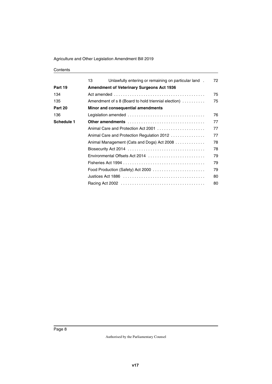|            | 13 | Unlawfully entering or remaining on particular land.                                                           | 72 |
|------------|----|----------------------------------------------------------------------------------------------------------------|----|
| Part 19    |    | <b>Amendment of Veterinary Surgeons Act 1936</b>                                                               |    |
| 134        |    |                                                                                                                | 75 |
| 135        |    | Amendment of s 8 (Board to hold triennial election)                                                            | 75 |
| Part 20    |    | Minor and consequential amendments                                                                             |    |
| 136        |    |                                                                                                                | 76 |
| Schedule 1 |    |                                                                                                                | 77 |
|            |    | Animal Care and Protection Act 2001                                                                            | 77 |
|            |    | Animal Care and Protection Regulation 2012                                                                     | 77 |
|            |    | Animal Management (Cats and Dogs) Act 2008                                                                     | 78 |
|            |    |                                                                                                                | 78 |
|            |    | Environmental Offsets Act 2014                                                                                 | 79 |
|            |    |                                                                                                                | 79 |
|            |    | Food Production (Safety) Act 2000 $\ldots \ldots \ldots \ldots \ldots \ldots \ldots$                           | 79 |
|            |    | Justices Act 1886 $\ldots \ldots \ldots \ldots \ldots \ldots \ldots \ldots \ldots \ldots \ldots \ldots \ldots$ | 80 |
|            |    |                                                                                                                | 80 |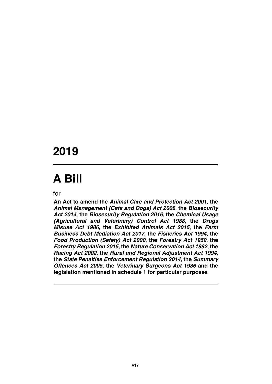### **2019**

# **A Bill**

for

**An Act to amend the** *Animal Care and Protection Act 2001***, the** *Animal Management (Cats and Dogs) Act 2008***, the** *Biosecurity Act 2014***, the** *Biosecurity Regulation 2016***, the** *Chemical Usage (Agricultural and Veterinary) Control Act 1988***, the** *Drugs Misuse Act 1986***, the** *Exhibited Animals Act 2015***, the** *Farm Business Debt Mediation Act 2017***, the** *Fisheries Act 1994***, the** *Food Production (Safety) Act 2000***, the** *Forestry Act 1959***, the** *Forestry Regulation 2015***, the** *Nature Conservation Act 1992***, the** *Racing Act 2002***, the** *Rural and Regional Adjustment Act 1994***, the** *State Penalties Enforcement Regulation 2014***, the** *Summary Offences Act 2005***, the** *Veterinary Surgeons Act 1936* **and the legislation mentioned in schedule 1 for particular purposes**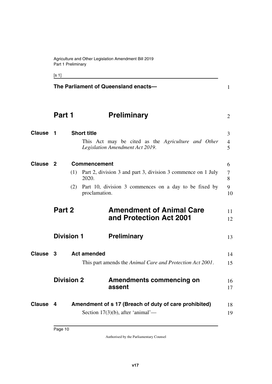<span id="page-11-9"></span><span id="page-11-7"></span><span id="page-11-3"></span><span id="page-11-1"></span><span id="page-11-0"></span>[s 1]

<span id="page-11-15"></span><span id="page-11-14"></span><span id="page-11-13"></span><span id="page-11-12"></span><span id="page-11-11"></span><span id="page-11-10"></span><span id="page-11-8"></span><span id="page-11-6"></span><span id="page-11-5"></span><span id="page-11-4"></span><span id="page-11-2"></span>

|               |                           |     | The Parliament of Queensland enacts-                                     | $\mathbf{1}$        |
|---------------|---------------------------|-----|--------------------------------------------------------------------------|---------------------|
|               | Part 1                    |     | <b>Preliminary</b>                                                       | $\overline{2}$      |
| <b>Clause</b> | 1                         |     | <b>Short title</b><br>This Act may be cited as the Agriculture and Other | 3<br>$\overline{4}$ |
|               |                           |     | Legislation Amendment Act 2019.                                          | 5                   |
| <b>Clause</b> | $\overline{2}$            |     | <b>Commencement</b>                                                      | 6                   |
|               |                           | (1) | Part 2, division 3 and part 3, division 3 commence on 1 July<br>2020.    | $\tau$<br>8         |
|               |                           | (2) | Part 10, division 3 commences on a day to be fixed by<br>proclamation.   | 9<br>10             |
|               | Part 2                    |     | <b>Amendment of Animal Care</b><br>and Protection Act 2001               | 11<br>12            |
|               | <b>Division 1</b>         |     | <b>Preliminary</b>                                                       | 13                  |
| <b>Clause</b> | <b>Act amended</b><br>- 3 |     |                                                                          | 14                  |
|               |                           |     | This part amends the Animal Care and Protection Act 2001.                | 15                  |
|               | <b>Division 2</b>         |     | Amendments commencing on<br>assent                                       | 16<br>17            |
| <b>Clause</b> | 4                         |     | Amendment of s 17 (Breach of duty of care prohibited)                    | 18                  |
|               |                           |     | Section $17(3)(b)$ , after 'animal'—                                     | 19                  |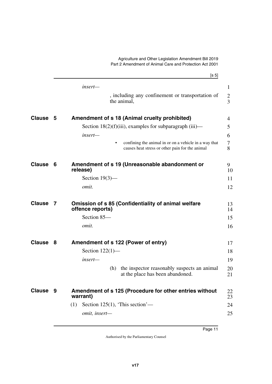<span id="page-12-9"></span><span id="page-12-8"></span><span id="page-12-7"></span><span id="page-12-6"></span><span id="page-12-5"></span><span id="page-12-4"></span><span id="page-12-3"></span><span id="page-12-2"></span><span id="page-12-1"></span><span id="page-12-0"></span> $[s 5]$ Agriculture and Other Legislation Amendment Bill 2019 Part 2 Amendment of Animal Care and Protection Act 2001 *insert—* , including any confinement or transportation of the animal, **5 Amendment of s 18 (Animal cruelty prohibited) Clause** 4 Section  $18(2)(f)(iii)$ , examples for subparagraph (iii) *insert—* • confining the animal in or on a vehicle in a way that causes heat stress or other pain for the animal **Clause 6** Amendment of s 19 (Unreasonable abandonment or  $\qquad$  9 **release)** Section 19(3) *omit.* **Clause 7** Omission of s 85 (Confidentiality of animal welfare  $13$ **offence reports)** Section 85 *omit.* **Clause 8** Amendment of s 122 (Power of entry)  $17$ Section 122(1) *insert—* (h) the inspector reasonably suspects an animal at the place has been abandoned. **9 Amendment of s 125 (Procedure for other entries without Clause** 22 **warrant)** (1) Section  $125(1)$ , 'This section' *omit, insert—* 1 2 3 5 6 7 8 10 11 12 14 15 16 18 19 20 21 23 24 25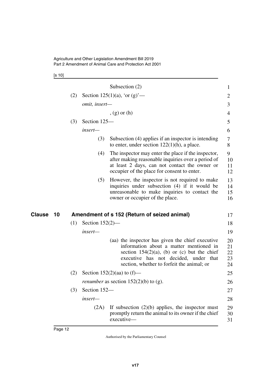[s 10]

<span id="page-13-1"></span><span id="page-13-0"></span>

|                     |     |                    | Subsection $(2)$                                                                                                                                                                                                                     | 1                          |
|---------------------|-----|--------------------|--------------------------------------------------------------------------------------------------------------------------------------------------------------------------------------------------------------------------------------|----------------------------|
|                     | (2) |                    | Section 125(1)(a), 'or (g)'—                                                                                                                                                                                                         | $\overline{2}$             |
|                     |     | omit, insert-      |                                                                                                                                                                                                                                      | 3                          |
|                     |     |                    | $, (g)$ or $(h)$                                                                                                                                                                                                                     | 4                          |
|                     | (3) | Section 125-       |                                                                                                                                                                                                                                      | 5                          |
|                     |     | insert-            |                                                                                                                                                                                                                                      | 6                          |
|                     |     | (3)                | Subsection (4) applies if an inspector is intending<br>to enter, under section $122(1)(h)$ , a place.                                                                                                                                | 7<br>8                     |
|                     |     | (4)                | The inspector may enter the place if the inspector,<br>after making reasonable inquiries over a period of<br>at least 2 days, can not contact the owner or<br>occupier of the place for consent to enter.                            | 9<br>10<br>11<br>12        |
|                     |     | (5)                | However, the inspector is not required to make<br>inquiries under subsection (4) if it would be<br>unreasonable to make inquiries to contact the<br>owner or occupier of the place.                                                  | 13<br>14<br>15<br>16       |
| <b>Clause</b><br>10 |     |                    | Amendment of s 152 (Return of seized animal)                                                                                                                                                                                         | 17                         |
|                     | (1) | Section $152(2)$ — |                                                                                                                                                                                                                                      | 18                         |
|                     |     | insert-            |                                                                                                                                                                                                                                      | 19                         |
|                     |     |                    | (aa) the inspector has given the chief executive<br>information about a matter mentioned in<br>section $154(2)(a)$ , (b) or (c) but the chief<br>executive has not decided, under that<br>section, whether to forfeit the animal; or | 20<br>21<br>22<br>23<br>24 |
|                     | (2) |                    | Section $152(2)(aa)$ to $(f)$ —                                                                                                                                                                                                      | 25                         |
|                     |     |                    | <i>renumber</i> as section $152(2)(b)$ to (g).                                                                                                                                                                                       | 26                         |
|                     | (3) | Section 152-       |                                                                                                                                                                                                                                      | 27                         |
|                     |     | insert-            |                                                                                                                                                                                                                                      | 28                         |
|                     |     | (2A)               | If subsection $(2)(b)$ applies, the inspector must<br>promptly return the animal to its owner if the chief<br>executive-                                                                                                             | 29<br>30<br>31             |
|                     |     |                    |                                                                                                                                                                                                                                      |                            |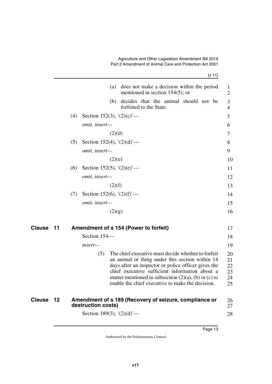| ۰. |  |  |
|----|--|--|
|    |  |  |

|               |    |     |                            | (a) does not make a decision within the period<br>mentioned in section $154(5)$ ; or                                                                                                                                                                                                                                          | $\mathbf{1}$<br>$\overline{2}$   |
|---------------|----|-----|----------------------------|-------------------------------------------------------------------------------------------------------------------------------------------------------------------------------------------------------------------------------------------------------------------------------------------------------------------------------|----------------------------------|
|               |    |     |                            | decides that the animal should not be<br>(b)<br>forfeited to the State.                                                                                                                                                                                                                                                       | $\mathfrak{Z}$<br>4              |
|               |    | (4) | Section 152(3), $(2)(c)$ – |                                                                                                                                                                                                                                                                                                                               | 5                                |
|               |    |     | omit, insert-              |                                                                                                                                                                                                                                                                                                                               | 6                                |
|               |    |     |                            | (2)(d)                                                                                                                                                                                                                                                                                                                        | 7                                |
|               |    | (5) | Section 152(4), $(2)(d)$ – |                                                                                                                                                                                                                                                                                                                               | 8                                |
|               |    |     | omit, insert-              |                                                                                                                                                                                                                                                                                                                               | 9                                |
|               |    |     |                            | (2)(e)                                                                                                                                                                                                                                                                                                                        | 10                               |
|               |    | (6) | Section 152(5), $(2)(e)$ — |                                                                                                                                                                                                                                                                                                                               | 11                               |
|               |    |     | omit, insert-              |                                                                                                                                                                                                                                                                                                                               | 12                               |
|               |    |     |                            | (2)(f)                                                                                                                                                                                                                                                                                                                        | 13                               |
|               |    | (7) | Section 152(6), $(2)(f)$ — |                                                                                                                                                                                                                                                                                                                               | 14                               |
|               |    |     | omit, insert-              |                                                                                                                                                                                                                                                                                                                               | 15                               |
|               |    |     |                            | (2)(g)                                                                                                                                                                                                                                                                                                                        | 16                               |
| <b>Clause</b> | 11 |     |                            | Amendment of s 154 (Power to forfeit)                                                                                                                                                                                                                                                                                         | 17                               |
|               |    |     | Section 154-               |                                                                                                                                                                                                                                                                                                                               | 18                               |
|               |    |     | $insert-$                  |                                                                                                                                                                                                                                                                                                                               | 19                               |
|               |    |     | (5)                        | The chief executive must decide whether to forfeit<br>an animal or thing under this section within 14<br>days after an inspector or police officer gives the<br>chief executive sufficient information about a<br>matter mentioned in subsection $(2)(a)$ , (b) or (c) to<br>enable the chief executive to make the decision. | 20<br>21<br>22<br>23<br>24<br>25 |
| Clause        | 12 |     | destruction costs)         | Amendment of s 189 (Recovery of seizure, compliance or                                                                                                                                                                                                                                                                        | 26<br>27                         |

<span id="page-14-3"></span><span id="page-14-2"></span><span id="page-14-1"></span><span id="page-14-0"></span>Section 189(3),  $(2)(d)$ <sup>'</sup>—

28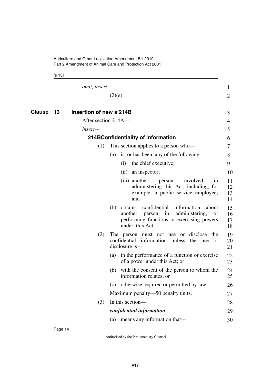<span id="page-15-3"></span><span id="page-15-2"></span><span id="page-15-1"></span><span id="page-15-0"></span>[s 13]

|        |    | <i>omit, insert—</i>                           |                                                                                                                                                                         | 1                    |
|--------|----|------------------------------------------------|-------------------------------------------------------------------------------------------------------------------------------------------------------------------------|----------------------|
|        |    |                                                | (2)(e)                                                                                                                                                                  | 2                    |
| Clause | 13 | Insertion of new s 214B<br>After section 214A- |                                                                                                                                                                         | 3                    |
|        |    |                                                |                                                                                                                                                                         | 4                    |
|        |    | $insert-$                                      |                                                                                                                                                                         | 5                    |
|        |    |                                                | 214BConfidentiality of information                                                                                                                                      | 6                    |
|        |    | (1)                                            | This section applies to a person who-                                                                                                                                   | 7                    |
|        |    |                                                | is, or has been, any of the following—<br>(a)                                                                                                                           | 8                    |
|        |    |                                                | the chief executive;<br>(i)                                                                                                                                             | 9                    |
|        |    |                                                | an inspector;<br>(ii)                                                                                                                                                   | 10                   |
|        |    |                                                | (iii) another<br>involved<br>person<br>1n<br>administering this Act, including, for<br>example, a public service employee;<br>and                                       | 11<br>12<br>13<br>14 |
|        |    |                                                | obtains<br>confidential<br>information<br>(b)<br>about<br>another<br>administering,<br>person in<br>or<br>performing functions or exercising powers<br>under, this Act. | 15<br>16<br>17<br>18 |
|        |    | (2)                                            | The person must not use or disclose<br>the<br>confidential information unless the<br>use<br>or<br>disclosure is-                                                        | 19<br>20<br>21       |
|        |    |                                                | in the performance of a function or exercise<br>(a)<br>of a power under this Act; or                                                                                    | 22<br>23             |
|        |    |                                                | with the consent of the person to whom the<br>(b)<br>information relates; or                                                                                            | 24<br>25             |
|        |    |                                                | (c) otherwise required or permitted by law.                                                                                                                             | 26                   |
|        |    |                                                | Maximum penalty—50 penalty units.                                                                                                                                       | 27                   |
|        |    | (3)                                            | In this section-                                                                                                                                                        | 28                   |
|        |    |                                                | confidential information-                                                                                                                                               | 29                   |
|        |    |                                                | means any information that—<br>(a)                                                                                                                                      | 30                   |
|        |    |                                                |                                                                                                                                                                         |                      |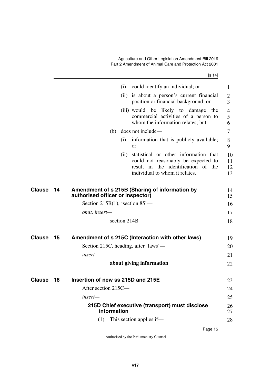[s 14]

<span id="page-16-7"></span><span id="page-16-6"></span><span id="page-16-5"></span><span id="page-16-4"></span><span id="page-16-3"></span><span id="page-16-2"></span><span id="page-16-1"></span><span id="page-16-0"></span>

|               |    |                                      | (i)          | could identify an individual; or                                                                                                                      | 1                    |
|---------------|----|--------------------------------------|--------------|-------------------------------------------------------------------------------------------------------------------------------------------------------|----------------------|
|               |    |                                      |              | (ii) is about a person's current financial<br>position or financial background; or                                                                    | $\overline{2}$<br>3  |
|               |    |                                      |              | (iii) would be likely to damage<br>the<br>commercial activities of a person to<br>whom the information relates; but                                   | 4<br>5<br>6          |
|               |    | (b)                                  |              | does not include—                                                                                                                                     | 7                    |
|               |    |                                      | (i)          | information that is publicly available;<br><sub>or</sub>                                                                                              | 8<br>9               |
|               |    |                                      | (ii)         | statistical or other information that<br>could not reasonably be expected to<br>result in the identification of the<br>individual to whom it relates. | 10<br>11<br>12<br>13 |
| <b>Clause</b> | 14 | authorised officer or inspector)     |              | Amendment of s 215B (Sharing of information by                                                                                                        | 14<br>15             |
|               |    | Section 215B $(1)$ , 'section 85'—   |              |                                                                                                                                                       | 16                   |
|               |    | omit, insert-                        |              |                                                                                                                                                       | 17                   |
|               |    |                                      | section 214B |                                                                                                                                                       | 18                   |
| <b>Clause</b> | 15 |                                      |              | Amendment of s 215C (Interaction with other laws)                                                                                                     | 19                   |
|               |    | Section 215C, heading, after 'laws'— |              |                                                                                                                                                       | 20                   |
|               |    | insert-                              |              |                                                                                                                                                       | 21                   |
|               |    |                                      |              | about giving information                                                                                                                              | 22                   |
| <b>Clause</b> | 16 | Insertion of new ss 215D and 215E    |              |                                                                                                                                                       | 23                   |
|               |    | After section 215C-                  |              |                                                                                                                                                       | 24                   |
|               |    | insert-                              |              |                                                                                                                                                       | 25                   |
|               |    | information                          |              | 215D Chief executive (transport) must disclose                                                                                                        | 26<br>27             |
|               |    | (1)                                  |              | This section applies if-                                                                                                                              | 28                   |
|               |    |                                      |              |                                                                                                                                                       |                      |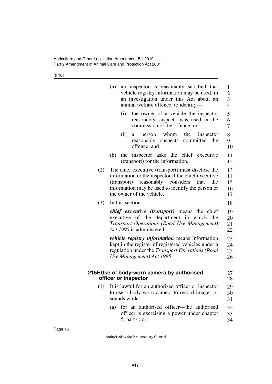[s 16]

<span id="page-17-1"></span><span id="page-17-0"></span>

|     | (a)<br>an inspector is reasonably satisfied that<br>vehicle registry information may be used, in<br>an investigation under this Act about an<br>animal welfare offence, to identify-                                                                |                            |  |  |  |  |  |  |  |
|-----|-----------------------------------------------------------------------------------------------------------------------------------------------------------------------------------------------------------------------------------------------------|----------------------------|--|--|--|--|--|--|--|
|     | (i)<br>the owner of a vehicle the inspector<br>reasonably suspects was used in the<br>commission of the offence; or                                                                                                                                 | 5<br>6<br>$\overline{7}$   |  |  |  |  |  |  |  |
|     | (ii)<br>person whom the<br>inspector<br>a<br>suspects committed the<br>reasonably<br>offence; and                                                                                                                                                   | 8<br>9<br>10               |  |  |  |  |  |  |  |
|     | the inspector asks the chief executive<br>(b)<br>(transport) for the information.                                                                                                                                                                   | 11<br>12                   |  |  |  |  |  |  |  |
| (2) | The chief executive (transport) must disclose the<br>information to the inspector if the chief executive<br>reasonably<br>considers<br>(transport)<br>that<br>the<br>information may be used to identify the person or<br>the owner of the vehicle. | 13<br>14<br>15<br>16<br>17 |  |  |  |  |  |  |  |
| (3) | In this section-                                                                                                                                                                                                                                    | 18                         |  |  |  |  |  |  |  |
|     | <i>chief executive (transport)</i> means the chief<br>executive of the department in which the<br>Transport Operations (Road Use Management)<br>Act 1995 is administered.                                                                           |                            |  |  |  |  |  |  |  |
|     | <i>vehicle registry information</i> means information<br>kept in the register of registered vehicles under a<br>regulation under the Transport Operations (Road<br>Use Management) Act 1995.                                                        | 23<br>24<br>25<br>26       |  |  |  |  |  |  |  |
|     | 215EUse of body-worn camera by authorised<br>officer or inspector                                                                                                                                                                                   | 27<br>28                   |  |  |  |  |  |  |  |
|     | (1) It is lawful for an authorised officer or inspector<br>to use a body-worn camera to record images or<br>sounds while-                                                                                                                           | 29<br>30<br>31             |  |  |  |  |  |  |  |
|     | for an authorised officer—the authorised<br>(a)<br>officer is exercising a power under chapter<br>5, part 4; or                                                                                                                                     | 32<br>33<br>34             |  |  |  |  |  |  |  |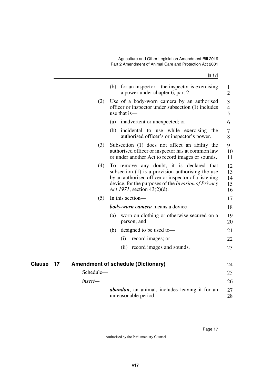<span id="page-18-1"></span><span id="page-18-0"></span>

|                     |           | (b) for an inspector—the inspector is exercising<br>a power under chapter 6, part 2.                                                                                                                                                                 | 1<br>$\overline{2}$        |
|---------------------|-----------|------------------------------------------------------------------------------------------------------------------------------------------------------------------------------------------------------------------------------------------------------|----------------------------|
|                     | (2)       | Use of a body-worn camera by an authorised<br>officer or inspector under subsection (1) includes<br>use that is-                                                                                                                                     | 3<br>$\overline{4}$<br>5   |
|                     |           | inadvertent or unexpected; or<br>(a)                                                                                                                                                                                                                 | 6                          |
|                     |           | (b)<br>incidental to use while exercising the<br>authorised officer's or inspector's power.                                                                                                                                                          | 7<br>8                     |
|                     | (3)       | Subsection (1) does not affect an ability the<br>authorised officer or inspector has at common law<br>or under another Act to record images or sounds.                                                                                               | 9<br>10<br>11              |
|                     | (4)       | To remove any doubt, it is declared that<br>subsection $(1)$ is a provision authorising the use<br>by an authorised officer or inspector of a listening<br>device, for the purposes of the <i>Invasion of Privacy</i><br>Act 1971, section 43(2)(d). | 12<br>13<br>14<br>15<br>16 |
|                     | (5)       | In this section-                                                                                                                                                                                                                                     | 17                         |
|                     |           | <b>body-worn camera</b> means a device—                                                                                                                                                                                                              | 18                         |
|                     |           | worn on clothing or otherwise secured on a<br>(a)<br>person; and                                                                                                                                                                                     | 19<br>20                   |
|                     |           | designed to be used to-<br>(b)                                                                                                                                                                                                                       | 21                         |
|                     |           | (i)<br>record images; or                                                                                                                                                                                                                             | 22                         |
|                     |           | (ii) record images and sounds.                                                                                                                                                                                                                       | 23                         |
| <b>Clause</b><br>17 |           | <b>Amendment of schedule (Dictionary)</b>                                                                                                                                                                                                            | 24                         |
|                     | Schedule- |                                                                                                                                                                                                                                                      | 25                         |
|                     | insert—   |                                                                                                                                                                                                                                                      | 26                         |
|                     |           | <b>abandon</b> , an animal, includes leaving it for an<br>unreasonable period.                                                                                                                                                                       | 27<br>28                   |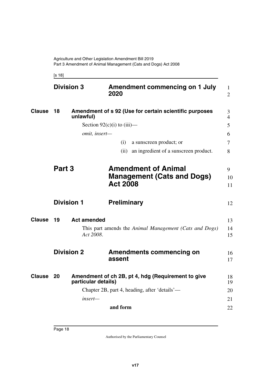<span id="page-19-11"></span><span id="page-19-7"></span><span id="page-19-5"></span><span id="page-19-3"></span><span id="page-19-2"></span><span id="page-19-1"></span><span id="page-19-0"></span>[s 18]

<span id="page-19-13"></span><span id="page-19-12"></span><span id="page-19-10"></span><span id="page-19-9"></span><span id="page-19-8"></span><span id="page-19-6"></span><span id="page-19-4"></span>

|               | <b>Division 3</b> |                              | 2020               | <b>Amendment commencing on 1 July</b>                  | 1<br>$\overline{2}$ |
|---------------|-------------------|------------------------------|--------------------|--------------------------------------------------------|---------------------|
| <b>Clause</b> | 18                | unlawful)                    |                    | Amendment of s 92 (Use for certain scientific purposes | 3<br>$\overline{4}$ |
|               |                   | Section $92(c)(i)$ to (iii)— |                    |                                                        | 5                   |
|               |                   | omit, insert-                |                    |                                                        | 6                   |
|               |                   |                              | (i)                | a sunscreen product; or                                | 7                   |
|               |                   |                              |                    | (ii) an ingredient of a sunscreen product.             | 8                   |
|               | Part 3            |                              |                    | <b>Amendment of Animal</b>                             | 9                   |
|               |                   |                              |                    | <b>Management (Cats and Dogs)</b>                      | 10                  |
|               |                   |                              | <b>Act 2008</b>    |                                                        | 11                  |
|               | <b>Division 1</b> |                              | <b>Preliminary</b> |                                                        | 12                  |
| <b>Clause</b> | 19                | <b>Act amended</b>           |                    |                                                        | 13                  |
|               |                   | Act 2008.                    |                    | This part amends the Animal Management (Cats and Dogs) | 14<br>15            |
|               | <b>Division 2</b> |                              | assent             | <b>Amendments commencing on</b>                        | 16<br>17            |
| Clause        | 20                | particular details)          |                    | Amendment of ch 2B, pt 4, hdg (Requirement to give     | 18<br>19            |
|               |                   |                              |                    | Chapter 2B, part 4, heading, after 'details'—          | 20                  |
|               |                   | insert-                      |                    |                                                        | 21                  |
|               |                   |                              | and form           |                                                        | 22                  |
|               |                   |                              |                    |                                                        |                     |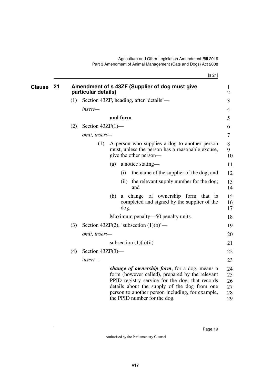[s 21]

<span id="page-20-1"></span><span id="page-20-0"></span>

| <b>Clause</b> | 21 |     | particular details) |     |           | Amendment of s 43ZF (Supplier of dog must give                                                                                                                                                                                                                                                | $\mathbf{1}$<br>$\mathbf{2}$     |
|---------------|----|-----|---------------------|-----|-----------|-----------------------------------------------------------------------------------------------------------------------------------------------------------------------------------------------------------------------------------------------------------------------------------------------|----------------------------------|
|               |    | (1) |                     |     |           | Section 43ZF, heading, after 'details'—                                                                                                                                                                                                                                                       | 3                                |
|               |    |     | insert—             |     |           |                                                                                                                                                                                                                                                                                               | 4                                |
|               |    |     |                     |     | and form  |                                                                                                                                                                                                                                                                                               | 5                                |
|               |    | (2) | Section $43ZF(1)$ — |     |           |                                                                                                                                                                                                                                                                                               | 6                                |
|               |    |     | omit, insert-       |     |           |                                                                                                                                                                                                                                                                                               | 7                                |
|               |    |     | (1)                 |     |           | A person who supplies a dog to another person<br>must, unless the person has a reasonable excuse,<br>give the other person—                                                                                                                                                                   | 8<br>9<br>10                     |
|               |    |     |                     | (a) |           | a notice stating—                                                                                                                                                                                                                                                                             | 11                               |
|               |    |     |                     |     | (i)       | the name of the supplier of the dog; and                                                                                                                                                                                                                                                      | 12                               |
|               |    |     |                     |     | (ii)      | the relevant supply number for the dog;<br>and                                                                                                                                                                                                                                                | 13<br>14                         |
|               |    |     |                     | (b) | a<br>dog. | change of ownership form that is<br>completed and signed by the supplier of the                                                                                                                                                                                                               | 15<br>16<br>17                   |
|               |    |     |                     |     |           | Maximum penalty—50 penalty units.                                                                                                                                                                                                                                                             | 18                               |
|               |    | (3) |                     |     |           | Section 43ZF(2), 'subsection $(1)(b)$ '—                                                                                                                                                                                                                                                      | 19                               |
|               |    |     | omit, insert-       |     |           |                                                                                                                                                                                                                                                                                               | 20                               |
|               |    |     |                     |     |           | subsection $(1)(a)(ii)$                                                                                                                                                                                                                                                                       | 21                               |
|               |    | (4) | Section $43ZF(3)$ — |     |           |                                                                                                                                                                                                                                                                                               | 22                               |
|               |    |     | insert-             |     |           |                                                                                                                                                                                                                                                                                               | 23                               |
|               |    |     |                     |     |           | <i>change of ownership form, for a dog, means a</i><br>form (however called), prepared by the relevant<br>PPID registry service for the dog, that records<br>details about the supply of the dog from one<br>person to another person including, for example,<br>the PPID number for the dog. | 24<br>25<br>26<br>27<br>28<br>29 |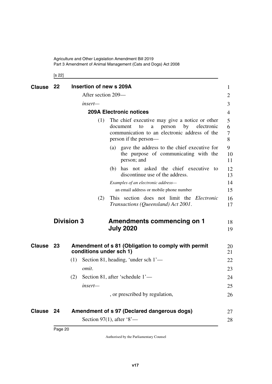Agriculture and Other Legislation Amendment Bill 2019 Part 3 Amendment of Animal Management (Cats and Dogs) Act 2008

<span id="page-21-5"></span><span id="page-21-3"></span><span id="page-21-2"></span><span id="page-21-1"></span><span id="page-21-0"></span>[s 22]

<span id="page-21-9"></span><span id="page-21-8"></span><span id="page-21-7"></span><span id="page-21-6"></span><span id="page-21-4"></span>

| <b>Clause</b> | -22               | Insertion of new s 209A                                                                                                                                                              | $\mathbf{1}$     |
|---------------|-------------------|--------------------------------------------------------------------------------------------------------------------------------------------------------------------------------------|------------------|
|               |                   | After section 209—                                                                                                                                                                   | 2                |
|               |                   | insert—                                                                                                                                                                              | 3                |
|               |                   | <b>209A Electronic notices</b>                                                                                                                                                       | 4                |
|               |                   | The chief executive may give a notice or other<br>(1)<br>document<br>electronic<br>person<br>by<br>to<br>a<br>communication to an electronic address of the<br>person if the person— | 5<br>6<br>7<br>8 |
|               |                   | (a) gave the address to the chief executive for<br>the purpose of communicating with the<br>person; and                                                                              | 9<br>10<br>11    |
|               |                   | has not asked the chief executive to<br>(b)<br>discontinue use of the address.                                                                                                       | 12<br>13         |
|               |                   | Examples of an electronic address-                                                                                                                                                   | 14               |
|               |                   | an email address or mobile phone number                                                                                                                                              | 15               |
|               |                   | This section does not limit the <i>Electronic</i><br>(2)<br>Transactions (Queensland) Act 2001.                                                                                      | 16<br>17         |
|               | <b>Division 3</b> | <b>Amendments commencing on 1</b><br><b>July 2020</b>                                                                                                                                | 18<br>19         |
| Clause 23     |                   | Amendment of s 81 (Obligation to comply with permit<br>conditions under sch 1)                                                                                                       | 20<br>21         |
|               | (1)               | Section 81, heading, 'under sch 1'—                                                                                                                                                  | 22               |
|               |                   | omit.                                                                                                                                                                                | 23               |
|               | (2)               | Section 81, after 'schedule 1'-                                                                                                                                                      | 24               |
|               |                   | insert—                                                                                                                                                                              | 25               |
|               |                   | , or prescribed by regulation,                                                                                                                                                       | 26               |
| Clause 24     |                   | Amendment of s 97 (Declared dangerous dogs)                                                                                                                                          | 27               |
|               |                   | Section 97(1), after $8 -$                                                                                                                                                           | 28               |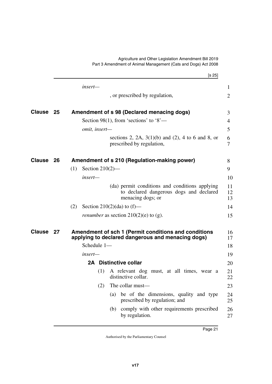<span id="page-22-7"></span><span id="page-22-6"></span><span id="page-22-5"></span><span id="page-22-4"></span><span id="page-22-3"></span><span id="page-22-2"></span><span id="page-22-1"></span><span id="page-22-0"></span>

| insert-                                                                                                                            | 1                   |
|------------------------------------------------------------------------------------------------------------------------------------|---------------------|
|                                                                                                                                    |                     |
| , or prescribed by regulation,                                                                                                     | $\overline{2}$      |
| Clause 25<br>Amendment of s 98 (Declared menacing dogs)                                                                            | 3                   |
| Section 98(1), from 'sections' to '8'—                                                                                             | 4                   |
| omit, insert-                                                                                                                      | 5                   |
| sections 2, 2A, $3(1)(b)$ and (2), 4 to 6 and 8, or<br>prescribed by regulation,                                                   | 6<br>$\overline{7}$ |
| <b>Clause</b><br>- 26<br>Amendment of s 210 (Regulation-making power)                                                              | 8                   |
| Section $210(2)$ —<br>(1)                                                                                                          | 9                   |
| insert—                                                                                                                            | 10                  |
| (da) permit conditions and conditions applying<br>to declared dangerous dogs and declared<br>menacing dogs; or                     | 11<br>12<br>13      |
| Section 210(2)(da) to $(f)$ —<br>(2)                                                                                               | 14                  |
| <i>renumber</i> as section $210(2)(e)$ to (g).                                                                                     | 15                  |
| <b>Clause</b><br>Amendment of sch 1 (Permit conditions and conditions<br>- 27<br>applying to declared dangerous and menacing dogs) | 16<br>17            |
| Schedule 1-                                                                                                                        | 18                  |
| insert—                                                                                                                            | 19                  |
| 2A Distinctive collar                                                                                                              | 20                  |
| (1) A relevant dog must, at all times, wear a<br>distinctive collar.                                                               | 21<br>22            |
| The collar must-<br>(2)                                                                                                            | 23                  |
| be of the dimensions, quality and type<br>(a)<br>prescribed by regulation; and                                                     | 24<br>25            |
| comply with other requirements prescribed<br>(b)<br>by regulation.                                                                 | 26<br>27            |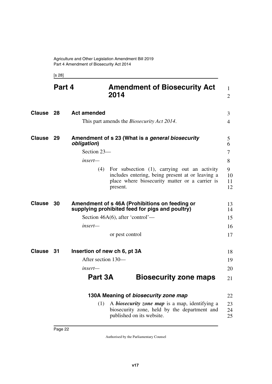<span id="page-23-11"></span><span id="page-23-5"></span><span id="page-23-3"></span><span id="page-23-2"></span><span id="page-23-1"></span><span id="page-23-0"></span>[s 28]

<span id="page-23-13"></span><span id="page-23-12"></span><span id="page-23-10"></span><span id="page-23-9"></span><span id="page-23-8"></span><span id="page-23-7"></span><span id="page-23-6"></span><span id="page-23-4"></span>

|               | Part 4 |                              | <b>Amendment of Biosecurity Act</b><br>2014                                                                                                                    | 1<br>$\overline{2}$ |
|---------------|--------|------------------------------|----------------------------------------------------------------------------------------------------------------------------------------------------------------|---------------------|
| Clause 28     |        | <b>Act amended</b>           |                                                                                                                                                                | 3                   |
|               |        |                              | This part amends the <i>Biosecurity Act 2014</i> .                                                                                                             | $\overline{4}$      |
| <b>Clause</b> | - 29   | obligation)                  | Amendment of s 23 (What is a general biosecurity                                                                                                               | 5<br>6              |
|               |        | Section 23-                  |                                                                                                                                                                | $\tau$              |
|               |        | insert—                      |                                                                                                                                                                | 8                   |
|               |        | (4)                          | For subsection (1), carrying out an activity<br>includes entering, being present at or leaving a<br>place where biosecurity matter or a carrier is<br>present. | 9<br>10<br>11<br>12 |
| <b>Clause</b> | 30     |                              | Amendment of s 46A (Prohibitions on feeding or<br>supplying prohibited feed for pigs and poultry)                                                              | 13<br>14            |
|               |        |                              | Section $46A(6)$ , after 'control'—                                                                                                                            | 15                  |
|               |        | insert—                      |                                                                                                                                                                | 16                  |
|               |        |                              | or pest control                                                                                                                                                | 17                  |
| Clause        | 31     | Insertion of new ch 6, pt 3A |                                                                                                                                                                | 18                  |
|               |        | After section 130-           |                                                                                                                                                                | 19                  |
|               |        | insert—                      |                                                                                                                                                                | 20                  |
|               |        | Part 3A                      | <b>Biosecurity zone maps</b>                                                                                                                                   | 21                  |
|               |        |                              | 130A Meaning of biosecurity zone map                                                                                                                           | 22                  |
|               |        | (1)                          | A <i>biosecurity zone map</i> is a map, identifying a<br>biosecurity zone, held by the department and<br>published on its website.                             | 23<br>24<br>25      |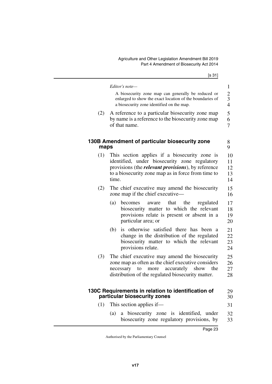$[s \ 31]$ 

<span id="page-24-3"></span><span id="page-24-2"></span><span id="page-24-1"></span><span id="page-24-0"></span>

|      | Editor's note—                                                                                                                                                                                                              |  |
|------|-----------------------------------------------------------------------------------------------------------------------------------------------------------------------------------------------------------------------------|--|
|      | A biosecurity zone map can generally be reduced or<br>enlarged to show the exact location of the boundaries of<br>a biosecurity zone identified on the map.                                                                 |  |
| (2)  | A reference to a particular biosecurity zone map<br>by name is a reference to the biosecurity zone map<br>of that name.                                                                                                     |  |
| maps | 130B Amendment of particular biosecurity zone                                                                                                                                                                               |  |
| (1)  | This section applies if a biosecurity zone is<br>identified, under biosecurity zone regulatory<br>provisions (the <i>relevant provisions</i> ), by reference<br>to a biosecurity zone map as in force from time to<br>time. |  |
| (2)  | The chief executive may amend the biosecurity<br>zone map if the chief executive-                                                                                                                                           |  |
|      | (a)<br>that the<br>regulated<br>becomes<br>aware<br>biosecurity matter to which the relevant<br>provisions relate is present or absent in a<br>particular area; or                                                          |  |
|      | is otherwise satisfied there has been a<br>(b)<br>change in the distribution of the regulated<br>biosecurity matter to which the relevant<br>provisions relate.                                                             |  |
| (3)  | The chief executive may amend the biosecurity<br>zone map as often as the chief executive considers<br>accurately<br>show<br>the<br>necessary<br>to<br>more<br>distribution of the regulated biosecurity matter.            |  |
|      | 130C Requirements in relation to identification of<br>particular biosecurity zones                                                                                                                                          |  |
| (1)  | This section applies if—                                                                                                                                                                                                    |  |
|      | a biosecurity zone is identified, under<br>(a)<br>biosecurity zone regulatory provisions, by                                                                                                                                |  |
|      | Page 23                                                                                                                                                                                                                     |  |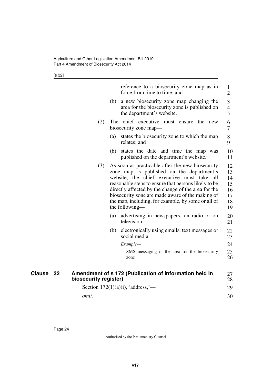[s 32]

<span id="page-25-1"></span><span id="page-25-0"></span>

|              |                       | reference to a biosecurity zone map as in<br>force from time to time; and                                                                                                                                                                                                                                                                                                                   | $\mathbf{1}$<br>$\overline{2}$               |
|--------------|-----------------------|---------------------------------------------------------------------------------------------------------------------------------------------------------------------------------------------------------------------------------------------------------------------------------------------------------------------------------------------------------------------------------------------|----------------------------------------------|
|              |                       | a new biosecurity zone map changing the<br>(b)<br>area for the biosecurity zone is published on<br>the department's website.                                                                                                                                                                                                                                                                | 3<br>$\overline{4}$<br>5                     |
|              | (2)                   | The chief executive must ensure the new<br>biosecurity zone map-                                                                                                                                                                                                                                                                                                                            | 6<br>$\overline{7}$                          |
|              |                       | states the biosecurity zone to which the map<br>(a)<br>relates; and                                                                                                                                                                                                                                                                                                                         | 8<br>9                                       |
|              |                       | states the date and time the map was<br>(b)<br>published on the department's website.                                                                                                                                                                                                                                                                                                       | 10<br>11                                     |
|              | (3)                   | As soon as practicable after the new biosecurity<br>zone map is published on the department's<br>website, the chief executive must take<br>- all<br>reasonable steps to ensure that persons likely to be<br>directly affected by the change of the area for the<br>biosecurity zone are made aware of the making of<br>the map, including, for example, by some or all of<br>the following— | 12<br>13<br>14<br>15<br>16<br>17<br>18<br>19 |
|              |                       | advertising in newspapers, on radio or on<br>(a)<br>television;                                                                                                                                                                                                                                                                                                                             | 20<br>21                                     |
|              |                       | electronically using emails, text messages or<br>(b)<br>social media.                                                                                                                                                                                                                                                                                                                       | 22<br>23                                     |
|              |                       | Example-                                                                                                                                                                                                                                                                                                                                                                                    | 24                                           |
|              |                       | SMS messaging in the area for the biosecurity<br>zone                                                                                                                                                                                                                                                                                                                                       | 25<br>26                                     |
| Clause<br>32 | biosecurity register) | Amendment of s 172 (Publication of information held in                                                                                                                                                                                                                                                                                                                                      | 27<br>28                                     |
|              |                       | Section $172(1)(a)(i)$ , 'address,'—                                                                                                                                                                                                                                                                                                                                                        | 29                                           |
|              | <i>omit.</i>          |                                                                                                                                                                                                                                                                                                                                                                                             | 30                                           |
|              |                       |                                                                                                                                                                                                                                                                                                                                                                                             |                                              |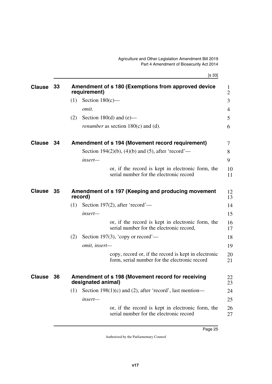[s 33]

<span id="page-26-7"></span><span id="page-26-6"></span><span id="page-26-5"></span><span id="page-26-4"></span><span id="page-26-3"></span><span id="page-26-2"></span><span id="page-26-1"></span><span id="page-26-0"></span>

| <b>Clause</b> | 33 |     | requirement)       | Amendment of s 180 (Exemptions from approved device                                                   | 1<br>$\overline{2}$ |
|---------------|----|-----|--------------------|-------------------------------------------------------------------------------------------------------|---------------------|
|               |    | (1) | Section $180(c)$ — |                                                                                                       | 3                   |
|               |    |     | omit.              |                                                                                                       | 4                   |
|               |    | (2) |                    | Section 180 $(d)$ and $(e)$ —                                                                         | 5                   |
|               |    |     |                    | <i>renumber</i> as section $180(c)$ and (d).                                                          | 6                   |
| <b>Clause</b> | 34 |     |                    | Amendment of s 194 (Movement record requirement)                                                      | 7                   |
|               |    |     |                    | Section 194(2)(b), (4)(b) and (5), after 'record'—                                                    | 8                   |
|               |    |     | insert—            |                                                                                                       | 9                   |
|               |    |     |                    | or, if the record is kept in electronic form, the<br>serial number for the electronic record          | 10<br>11            |
| <b>Clause</b> | 35 |     | record)            | Amendment of s 197 (Keeping and producing movement                                                    | 12<br>13            |
|               |    | (1) |                    | Section 197(2), after 'record'—                                                                       | 14                  |
|               |    |     | insert-            |                                                                                                       | 15                  |
|               |    |     |                    | or, if the record is kept in electronic form, the<br>serial number for the electronic record,         | 16<br>17            |
|               |    | (2) |                    | Section 197(3), 'copy or record'—                                                                     | 18                  |
|               |    |     | omit, insert-      |                                                                                                       | 19                  |
|               |    |     |                    | copy, record or, if the record is kept in electronic<br>form, serial number for the electronic record | 20<br>21            |
| <b>Clause</b> | 36 |     | designated animal) | Amendment of s 198 (Movement record for receiving                                                     | 22<br>23            |
|               |    | (1) |                    | Section 198(1)(c) and (2), after 'record', last mention—                                              | 24                  |
|               |    |     | insert—            |                                                                                                       | 25                  |
|               |    |     |                    | or, if the record is kept in electronic form, the<br>serial number for the electronic record          | 26<br>27            |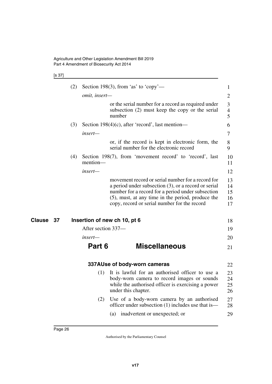#### [s 37]

|    | (2) |                    | Section 198(3), from 'as' to 'copy'—                                                                                                                                                                                                                                   | 1                          |
|----|-----|--------------------|------------------------------------------------------------------------------------------------------------------------------------------------------------------------------------------------------------------------------------------------------------------------|----------------------------|
|    |     | omit, insert-      |                                                                                                                                                                                                                                                                        | $\overline{2}$             |
|    |     |                    | or the serial number for a record as required under<br>subsection (2) must keep the copy or the serial<br>number                                                                                                                                                       | 3<br>$\overline{4}$<br>5   |
|    | (3) |                    | Section $198(4)(c)$ , after 'record', last mention—                                                                                                                                                                                                                    | 6                          |
|    |     | insert-            |                                                                                                                                                                                                                                                                        | 7                          |
|    |     |                    | or, if the record is kept in electronic form, the<br>serial number for the electronic record                                                                                                                                                                           | 8<br>9                     |
|    | (4) | mention-           | Section 198(7), from 'movement record' to 'record', last                                                                                                                                                                                                               | 10<br>11                   |
|    |     | insert-            |                                                                                                                                                                                                                                                                        | 12                         |
|    |     |                    | movement record or serial number for a record for<br>a period under subsection $(3)$ , or a record or serial<br>number for a record for a period under subsection<br>(5), must, at any time in the period, produce the<br>copy, record or serial number for the record | 13<br>14<br>15<br>16<br>17 |
| 37 |     |                    | Insertion of new ch 10, pt 6                                                                                                                                                                                                                                           | 18                         |
|    |     | After section 337- |                                                                                                                                                                                                                                                                        | 19                         |
|    |     |                    |                                                                                                                                                                                                                                                                        |                            |
|    |     | insert—            |                                                                                                                                                                                                                                                                        | 20                         |
|    |     | Part 6             | <b>Miscellaneous</b>                                                                                                                                                                                                                                                   | 21                         |
|    |     |                    | 337AUse of body-worn cameras                                                                                                                                                                                                                                           | 22                         |
|    |     | (1)                | It is lawful for an authorised officer to use a<br>body-worn camera to record images or sounds<br>while the authorised officer is exercising a power<br>under this chapter.                                                                                            | 23<br>24<br>25<br>26       |
|    |     | (2)                | Use of a body-worn camera by an authorised<br>officer under subsection (1) includes use that is—                                                                                                                                                                       | 27<br>28                   |

<span id="page-27-5"></span><span id="page-27-4"></span><span id="page-27-3"></span><span id="page-27-2"></span><span id="page-27-1"></span><span id="page-27-0"></span>**Clause** 37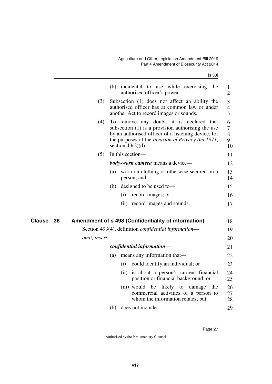[s 38]

<span id="page-28-1"></span><span id="page-28-0"></span>

|                     |               |     | (b) incidental to use while exercising the<br>authorised officer's power.                                                                                                                                                           | $\mathbf{1}$<br>$\overline{2}$ |
|---------------------|---------------|-----|-------------------------------------------------------------------------------------------------------------------------------------------------------------------------------------------------------------------------------------|--------------------------------|
|                     | (3)           |     | Subsection (1) does not affect an ability the<br>authorised officer has at common law or under<br>another Act to record images or sounds.                                                                                           | 3<br>$\overline{4}$<br>5       |
|                     | (4)           |     | To remove any doubt, it is declared that<br>subsection $(1)$ is a provision authorising the use<br>by an authorised officer of a listening device, for<br>the purposes of the Invasion of Privacy Act 1971,<br>section $43(2)(d)$ . | 6<br>$\tau$<br>8<br>9<br>10    |
|                     | (5)           |     | In this section-                                                                                                                                                                                                                    | 11                             |
|                     |               |     | <b>body-worn camera</b> means a device—                                                                                                                                                                                             | 12                             |
|                     |               | (a) | worn on clothing or otherwise secured on a<br>person; and                                                                                                                                                                           | 13<br>14                       |
|                     |               | (b) | designed to be used to-                                                                                                                                                                                                             | 15                             |
|                     |               |     | record images; or<br>(i)                                                                                                                                                                                                            | 16                             |
|                     |               |     | (ii) record images and sounds.                                                                                                                                                                                                      | 17                             |
| <b>Clause</b><br>38 |               |     | Amendment of s 493 (Confidentiality of information)                                                                                                                                                                                 | 18                             |
|                     |               |     | Section 493(4), definition <i>confidential information</i> —                                                                                                                                                                        | 19                             |
|                     | omit, insert- |     |                                                                                                                                                                                                                                     | 20                             |
|                     |               |     | confidential information-                                                                                                                                                                                                           | 21                             |
|                     |               | (a) | means any information that—                                                                                                                                                                                                         | 22                             |
|                     |               |     | could identify an individual; or<br>(i)                                                                                                                                                                                             | 23                             |
|                     |               |     | (ii) is about a person's current financial<br>position or financial background; or                                                                                                                                                  | 24<br>25                       |
|                     |               |     | (iii) would<br>be<br>likely to damage<br>the<br>commercial activities of a person to<br>whom the information relates; but                                                                                                           | 26<br>27<br>28                 |
|                     |               | (b) | does not include—                                                                                                                                                                                                                   | 29                             |
|                     |               |     |                                                                                                                                                                                                                                     |                                |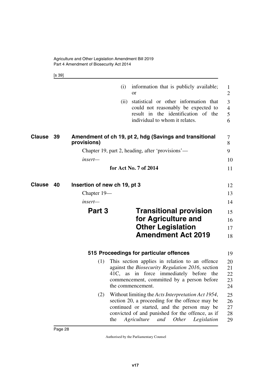<span id="page-29-5"></span><span id="page-29-4"></span><span id="page-29-1"></span>[s 39]

<span id="page-29-7"></span><span id="page-29-6"></span><span id="page-29-3"></span><span id="page-29-2"></span><span id="page-29-0"></span>

|        |                                    | (i)  | information that is publicly available;<br><sub>or</sub>                                                                                                                                                                                                      | 1<br>2                        |
|--------|------------------------------------|------|---------------------------------------------------------------------------------------------------------------------------------------------------------------------------------------------------------------------------------------------------------------|-------------------------------|
|        |                                    | (ii) | statistical or other information that<br>could not reasonably be expected to<br>result in the identification of the<br>individual to whom it relates.                                                                                                         | 3<br>$\overline{4}$<br>5<br>6 |
| Clause | 39<br>provisions)                  |      | Amendment of ch 19, pt 2, hdg (Savings and transitional                                                                                                                                                                                                       | 7<br>8                        |
|        |                                    |      | Chapter 19, part 2, heading, after 'provisions'—                                                                                                                                                                                                              | 9                             |
|        | insert-                            |      |                                                                                                                                                                                                                                                               | 10                            |
|        |                                    |      | for Act No. 7 of 2014                                                                                                                                                                                                                                         | 11                            |
| Clause | 40<br>Insertion of new ch 19, pt 3 |      |                                                                                                                                                                                                                                                               | 12                            |
|        | Chapter 19—                        |      |                                                                                                                                                                                                                                                               | 13                            |
|        | $insert$ —                         |      |                                                                                                                                                                                                                                                               | 14                            |
|        | Part 3                             |      | <b>Transitional provision</b>                                                                                                                                                                                                                                 | 15                            |
|        |                                    |      | for Agriculture and                                                                                                                                                                                                                                           | 16                            |
|        |                                    |      | <b>Other Legislation</b>                                                                                                                                                                                                                                      | 17                            |
|        |                                    |      | <b>Amendment Act 2019</b>                                                                                                                                                                                                                                     | 18                            |
|        |                                    |      | 515 Proceedings for particular offences                                                                                                                                                                                                                       | 19                            |
|        | (1)                                |      | This section applies in relation to an offence<br>against the <i>Biosecurity Regulation 2016</i> , section<br>41C, as in force immediately before the<br>commencement, committed by a person before<br>the commencement.                                      | 20<br>21<br>22<br>23<br>24    |
|        | (2)                                | the  | Without limiting the Acts Interpretation Act 1954,<br>section 20, a proceeding for the offence may be<br>continued or started, and the person may be<br>convicted of and punished for the offence, as if<br>Agriculture<br><i>Other</i><br>and<br>Legislation | 25<br>26<br>27<br>28<br>29    |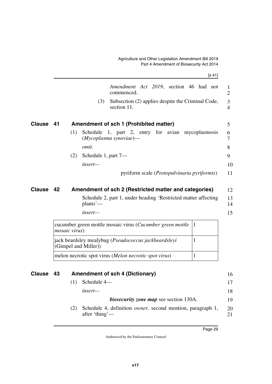$\mathbf{r} = \mathbf{r}$ 

<span id="page-30-1"></span><span id="page-30-0"></span>

|               |      | IS 411                                                                                                       |        |
|---------------|------|--------------------------------------------------------------------------------------------------------------|--------|
|               |      | Amendment Act 2019, section 46 had not<br>commenced.                                                         | 1<br>2 |
|               |      | Subsection (2) applies despite the Criminal Code,<br>(3)<br>section 11.                                      | 3<br>4 |
| <b>Clause</b> | - 41 | Amendment of sch 1 (Prohibited matter)                                                                       | 5      |
|               |      | Schedule 1, part 2, entry for avian mycoplasmosis<br>(1)<br>$(M \times \text{oplasma} \, \text{synoviae})$ — | 6<br>7 |
|               |      | omit.                                                                                                        | 8      |
|               |      | Schedule 1, part 7-<br>(2)                                                                                   | 9      |
|               |      | insert-                                                                                                      | 10     |
|               |      | pyriform scale ( <i>Protopulvinaria pyriformis</i> )                                                         | 11     |
| <b>Clause</b> | 42   | Amendment of sch 2 (Restricted matter and categories)                                                        | 12     |

<span id="page-30-3"></span><span id="page-30-2"></span>Schedule 2, part 1, under heading 'Restricted matter affecting plants'— 13 14

*insert—*

cucumber green mottle mosaic virus (*Cucumber green mottle mosaic virus*) 1 jack beardsley mealybug (*Pseudococcus jackbeardsleyi* (Gimpel and Miller)) 1 melon necrotic spot virus (*Melon necrotic spot virus*) | 1

<span id="page-30-5"></span><span id="page-30-4"></span>**43 Amendment of sch 4 (Dictionary) Clause** 16 (1) Schedule 4 *insert biosecurity zone map* see section 130A. (2) Schedule 4, definition *owner,* second mention, paragraph 1, after 'thing'— 17 18 19 20 21

15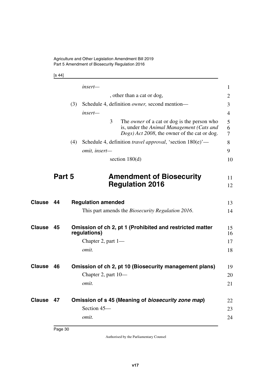Agriculture and Other Legislation Amendment Bill 2019 Part 5 Amendment of Biosecurity Regulation 2016

<span id="page-31-1"></span>[s 44]

<span id="page-31-9"></span><span id="page-31-8"></span><span id="page-31-7"></span><span id="page-31-6"></span><span id="page-31-5"></span><span id="page-31-4"></span><span id="page-31-3"></span><span id="page-31-2"></span><span id="page-31-0"></span>

|               |        |                           | insert-                                                                                                                                              | $\mathbf{1}$ |  |
|---------------|--------|---------------------------|------------------------------------------------------------------------------------------------------------------------------------------------------|--------------|--|
|               |        |                           | , other than a cat or dog,                                                                                                                           | 2            |  |
|               |        | (3)                       | Schedule 4, definition owner, second mention-                                                                                                        | 3            |  |
|               |        |                           | insert—                                                                                                                                              | 4            |  |
|               |        |                           | 3<br>The <i>owner</i> of a cat or dog is the person who<br>is, under the Animal Management (Cats and<br>Dogs) Act 2008, the owner of the cat or dog. | 5<br>6<br>7  |  |
|               |        | (4)                       | Schedule 4, definition <i>travel approval</i> , 'section 180(e)'—                                                                                    | 8            |  |
|               |        |                           | omit, insert-                                                                                                                                        | 9            |  |
|               |        |                           | section 180(d)                                                                                                                                       | 10           |  |
|               | Part 5 |                           | <b>Amendment of Biosecurity</b><br><b>Regulation 2016</b>                                                                                            | 11<br>12     |  |
| <b>Clause</b> | 44     | <b>Regulation amended</b> |                                                                                                                                                      |              |  |
|               |        |                           | This part amends the <i>Biosecurity Regulation 2016</i> .                                                                                            | 14           |  |
| <b>Clause</b> | 45     |                           | Omission of ch 2, pt 1 (Prohibited and restricted matter<br>regulations)                                                                             | 15<br>16     |  |
|               |        |                           | Chapter 2, part $1-$                                                                                                                                 | 17           |  |
|               |        |                           | omit.                                                                                                                                                | 18           |  |
| Clause        | 46     |                           | Omission of ch 2, pt 10 (Biosecurity management plans)                                                                                               | 19           |  |
|               |        |                           | Chapter 2, part 10—                                                                                                                                  | 20           |  |
|               |        |                           | omit.                                                                                                                                                | 21           |  |
| Clause        | 47     |                           | Omission of s 45 (Meaning of biosecurity zone map)                                                                                                   | 22           |  |
|               |        |                           | Section 45-                                                                                                                                          | 23           |  |
|               |        |                           | omit.                                                                                                                                                | 24           |  |
|               |        |                           |                                                                                                                                                      |              |  |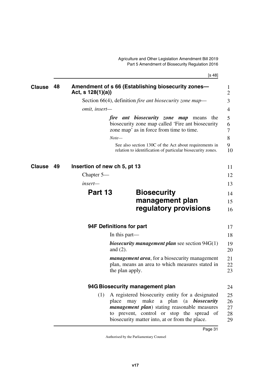<span id="page-32-5"></span>[s 48]

<span id="page-32-9"></span><span id="page-32-8"></span><span id="page-32-7"></span><span id="page-32-6"></span><span id="page-32-4"></span><span id="page-32-3"></span><span id="page-32-2"></span><span id="page-32-1"></span><span id="page-32-0"></span>

| <b>Clause</b> | 48 | Amendment of s 66 (Establishing biosecurity zones-<br>Act, s $128(1)(a)$                                                                                                                                                                                      | 1<br>$\overline{2}$  |
|---------------|----|---------------------------------------------------------------------------------------------------------------------------------------------------------------------------------------------------------------------------------------------------------------|----------------------|
|               |    | Section 66(4), definition <i>fire ant biosecurity zone map</i> —                                                                                                                                                                                              | 3                    |
|               |    | omit, insert-                                                                                                                                                                                                                                                 | 4                    |
|               |    | <i>fire ant biosecurity zone map</i> means the<br>biosecurity zone map called 'Fire ant biosecurity<br>zone map' as in force from time to time.                                                                                                               | 5<br>6<br>7          |
|               |    | $Note-$                                                                                                                                                                                                                                                       | 8                    |
|               |    | See also section 130C of the Act about requirements in<br>relation to identification of particular biosecurity zones.                                                                                                                                         | 9<br>10              |
| Clause        | 49 | Insertion of new ch 5, pt 13                                                                                                                                                                                                                                  | 11                   |
|               |    | Chapter $5-$                                                                                                                                                                                                                                                  | 12                   |
|               |    | insert—                                                                                                                                                                                                                                                       | 13                   |
|               |    | Part 13<br><b>Biosecurity</b>                                                                                                                                                                                                                                 | 14                   |
|               |    | management plan                                                                                                                                                                                                                                               | 15                   |
|               |    | regulatory provisions                                                                                                                                                                                                                                         | 16                   |
|               |    | 94F Definitions for part                                                                                                                                                                                                                                      | 17                   |
|               |    | In this part—                                                                                                                                                                                                                                                 | 18                   |
|               |    | <i>biosecurity management plan see section</i> $94G(1)$<br>and $(2)$ .                                                                                                                                                                                        | 19<br>20             |
|               |    | <i>management area,</i> for a biosecurity management<br>plan, means an area to which measures stated in<br>the plan apply.                                                                                                                                    | 21<br>22<br>23       |
|               |    | 94G Biosecurity management plan                                                                                                                                                                                                                               | 24                   |
|               |    | A registered biosecurity entity for a designated<br>(1)<br>place may make a plan (a <b>biosecurity</b><br><i>management plan</i> ) stating reasonable measures<br>to prevent, control or stop the spread of<br>biosecurity matter into, at or from the place. | 25<br>26<br>27<br>28 |
|               |    |                                                                                                                                                                                                                                                               | 29                   |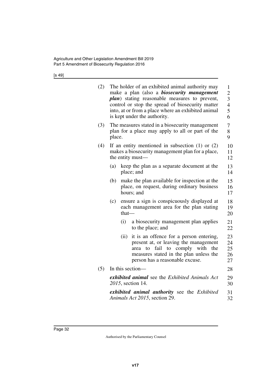[s 49]

| (2) |        |       | The holder of an exhibited animal authority may<br>make a plan (also a <i>biosecurity management</i><br><i>plan</i> ) stating reasonable measures to prevent,<br>control or stop the spread of biosecurity matter<br>into, at or from a place where an exhibited animal<br>is kept under the authority. | $\mathbf{1}$<br>$\overline{2}$<br>$\overline{\mathbf{3}}$<br>$\overline{4}$<br>5<br>6 |
|-----|--------|-------|---------------------------------------------------------------------------------------------------------------------------------------------------------------------------------------------------------------------------------------------------------------------------------------------------------|---------------------------------------------------------------------------------------|
| (3) | place. |       | The measures stated in a biosecurity management<br>plan for a place may apply to all or part of the                                                                                                                                                                                                     | 7<br>8<br>9                                                                           |
| (4) |        |       | If an entity mentioned in subsection $(1)$ or $(2)$<br>makes a biosecurity management plan for a place,<br>the entity must—                                                                                                                                                                             | 10<br>11<br>12                                                                        |
|     | (a)    |       | keep the plan as a separate document at the<br>place; and                                                                                                                                                                                                                                               | 13<br>14                                                                              |
|     | (b)    |       | make the plan available for inspection at the<br>place, on request, during ordinary business<br>hours; and                                                                                                                                                                                              | 15<br>16<br>17                                                                        |
|     | (c)    | that- | ensure a sign is conspicuously displayed at<br>each management area for the plan stating                                                                                                                                                                                                                | 18<br>19<br>20                                                                        |
|     |        | (i)   | a biosecurity management plan applies<br>to the place; and                                                                                                                                                                                                                                              | 21<br>22                                                                              |
|     |        | (ii)  | it is an offence for a person entering,<br>present at, or leaving the management<br>with<br>fail to comply<br>to<br>the<br>area<br>measures stated in the plan unless the<br>person has a reasonable excuse.                                                                                            | 23<br>24<br>25<br>26<br>27                                                            |
| (5) |        |       | In this section-                                                                                                                                                                                                                                                                                        | 28                                                                                    |
|     |        |       | exhibited animal see the Exhibited Animals Act<br>2015, section 14.                                                                                                                                                                                                                                     | 29<br>30                                                                              |
|     |        |       | exhibited animal authority see the Exhibited<br>Animals Act 2015, section 29.                                                                                                                                                                                                                           | 31<br>32                                                                              |
|     |        |       |                                                                                                                                                                                                                                                                                                         |                                                                                       |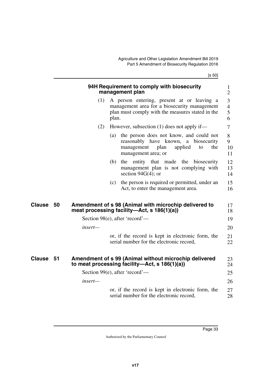[s 50]

<span id="page-34-5"></span><span id="page-34-4"></span><span id="page-34-3"></span><span id="page-34-2"></span><span id="page-34-1"></span><span id="page-34-0"></span>

|               |    |         |       | 94H Requirement to comply with biosecurity<br>management plan                                                                                        | $\mathbf{1}$<br>$\overline{2}$             |
|---------------|----|---------|-------|------------------------------------------------------------------------------------------------------------------------------------------------------|--------------------------------------------|
|               |    | (1)     | plan. | A person entering, present at or leaving a<br>management area for a biosecurity management<br>plan must comply with the measures stated in the       | $\mathfrak{Z}$<br>$\overline{4}$<br>5<br>6 |
|               |    | (2)     |       | However, subsection $(1)$ does not apply if—                                                                                                         | $\overline{7}$                             |
|               |    |         | (a)   | the person does not know, and could not<br>reasonably have known, a biosecurity<br>plan<br>management<br>applied<br>the<br>to<br>management area; or | 8<br>9<br>10<br>11                         |
|               |    |         | (b)   | entity that made the<br>the<br>biosecurity<br>management plan is not complying with<br>section $94G(4)$ ; or                                         | 12<br>13<br>14                             |
|               |    |         | (c)   | the person is required or permitted, under an<br>Act, to enter the management area.                                                                  | 15<br>16                                   |
| <b>Clause</b> | 50 |         |       | Amendment of s 98 (Animal with microchip delivered to<br>meat processing facility—Act, s 186(1)(a))                                                  | 17<br>18                                   |
|               |    |         |       | Section 98(e), after 'record'—                                                                                                                       | 19                                         |
|               |    | insert- |       |                                                                                                                                                      | 20                                         |
|               |    |         |       | or, if the record is kept in electronic form, the<br>serial number for the electronic record,                                                        | 21<br>22                                   |
| <b>Clause</b> | 51 |         |       | Amendment of s 99 (Animal without microchip delivered<br>to meat processing facility—Act, s 186(1)(a))                                               | 23<br>24                                   |
|               |    |         |       | Section 99(e), after 'record'—                                                                                                                       | 25                                         |
|               |    | insert— |       |                                                                                                                                                      | 26                                         |
|               |    |         |       | or, if the record is kept in electronic form, the<br>serial number for the electronic record,                                                        | 27<br>28                                   |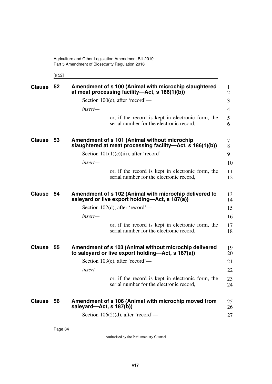<span id="page-35-3"></span><span id="page-35-1"></span><span id="page-35-0"></span>[s 52]

<span id="page-35-9"></span><span id="page-35-8"></span><span id="page-35-7"></span><span id="page-35-6"></span><span id="page-35-5"></span><span id="page-35-4"></span><span id="page-35-2"></span>

| <b>Clause</b> | 52   | Amendment of s 100 (Animal with microchip slaughtered<br>at meat processing facility—Act, s 186(1)(b))      | $\mathbf{1}$<br>$\overline{2}$ |
|---------------|------|-------------------------------------------------------------------------------------------------------------|--------------------------------|
|               |      | Section 100 $(e)$ , after 'record'—                                                                         | 3                              |
|               |      | insert-                                                                                                     | $\overline{4}$                 |
|               |      | or, if the record is kept in electronic form, the<br>serial number for the electronic record,               | 5<br>6                         |
| <b>Clause</b> | 53   | Amendment of s 101 (Animal without microchip<br>slaughtered at meat processing facility—Act, s 186(1)(b))   | 7<br>8                         |
|               |      | Section $101(1)(e)(iii)$ , after 'record'—                                                                  | 9                              |
|               |      | insert—                                                                                                     | 10                             |
|               |      | or, if the record is kept in electronic form, the<br>serial number for the electronic record,               | 11<br>12                       |
| <b>Clause</b> | 54   | Amendment of s 102 (Animal with microchip delivered to<br>saleyard or live export holding—Act, s 187(a))    | 13<br>14                       |
|               |      | Section $102(d)$ , after 'record'—                                                                          | 15                             |
|               |      | insert-                                                                                                     | 16                             |
|               |      | or, if the record is kept in electronic form, the<br>serial number for the electronic record,               | 17<br>18                       |
| <b>Clause</b> | 55   | Amendment of s 103 (Animal without microchip delivered<br>to saleyard or live export holding—Act, s 187(a)) | 19<br>20                       |
|               |      | Section 103 $(e)$ , after 'record'—                                                                         | 21                             |
|               |      | insert-                                                                                                     | 22                             |
|               |      | or, if the record is kept in electronic form, the<br>serial number for the electronic record,               | 23<br>24                       |
| <b>Clause</b> | - 56 | Amendment of s 106 (Animal with microchip moved from<br>saleyard—Act, s 187(b))                             | 25<br>26                       |
|               |      | Section 106(2)(d), after 'record'—                                                                          | 27                             |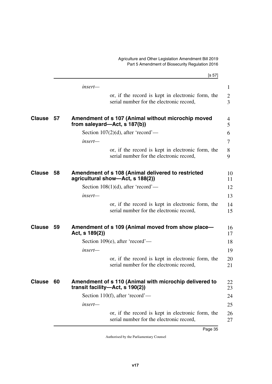|               |      | [s 57]                                                                                        |              |
|---------------|------|-----------------------------------------------------------------------------------------------|--------------|
|               |      | $insert-$                                                                                     | $\mathbf{1}$ |
|               |      | or, if the record is kept in electronic form, the<br>serial number for the electronic record, | 2<br>3       |
| <b>Clause</b> | 57   | Amendment of s 107 (Animal without microchip moved<br>from saleyard—Act, s 187(b))            | 4<br>5       |
|               |      | Section 107(2)(d), after 'record'—                                                            | 6            |
|               |      | insert-                                                                                       | 7            |
|               |      | or, if the record is kept in electronic form, the<br>serial number for the electronic record, | 8<br>9       |
| <b>Clause</b> | 58   | Amendment of s 108 (Animal delivered to restricted<br>agricultural show-Act, s 188(2))        | 10<br>11     |
|               |      | Section 108(1)(d), after 'record'—                                                            | 12           |
|               |      | insert-                                                                                       | 13           |
|               |      | or, if the record is kept in electronic form, the<br>serial number for the electronic record, | 14<br>15     |
| <b>Clause</b> | - 59 | Amendment of s 109 (Animal moved from show place—<br>Act, s 189(2))                           | 16<br>17     |
|               |      | Section 109(e), after 'record'—                                                               | 18           |
|               |      | insert-                                                                                       | 19           |
|               |      | or, if the record is kept in electronic form, the<br>serial number for the electronic record, | 20<br>21     |
| <b>Clause</b> | 60   | Amendment of s 110 (Animal with microchip delivered to<br>transit facility—Act, s 190(2))     | 22<br>23     |
|               |      | Section 110(f), after 'record'—                                                               | 24           |
|               |      | insert-                                                                                       | 25           |
|               |      | or, if the record is kept in electronic form, the<br>serial number for the electronic record, | 26<br>27     |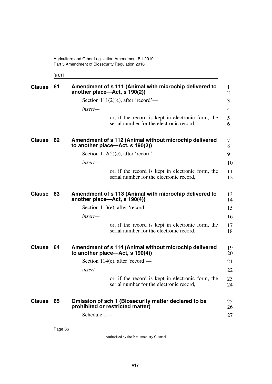[s 61]

| <b>Clause</b> | 61 | Amendment of s 111 (Animal with microchip delivered to<br>another place—Act, s 190(2))                  | $\mathbf{1}$<br>$\overline{2}$ |
|---------------|----|---------------------------------------------------------------------------------------------------------|--------------------------------|
|               |    | Section $111(2)(e)$ , after 'record'—                                                                   | 3                              |
|               |    | insert—                                                                                                 | $\overline{4}$                 |
|               |    | or, if the record is kept in electronic form, the<br>serial number for the electronic record,           | 5<br>6                         |
| <b>Clause</b> | 62 | Amendment of s 112 (Animal without microchip delivered<br>to another place—Act, s $190(2)$ )            | 7<br>8                         |
|               |    | Section $112(2)(e)$ , after 'record'—                                                                   | 9                              |
|               |    | insert-                                                                                                 | 10                             |
|               |    | or, if the record is kept in electronic form, the<br>serial number for the electronic record,           | 11<br>12                       |
| <b>Clause</b> | 63 | Amendment of s 113 (Animal with microchip delivered to<br>another place—Act, s $190(4)$ )               | 13<br>14                       |
|               |    | Section 113(e), after 'record'—                                                                         | 15                             |
|               |    | insert-                                                                                                 | 16                             |
|               |    | or, if the record is kept in electronic form, the<br>serial number for the electronic record,           | 17<br>18                       |
| <b>Clause</b> | 64 | Amendment of s 114 (Animal without microchip delivered<br>to another place—Act, s $190(4)$ )            | 19<br>20                       |
|               |    | Section $114(e)$ , after 'record'—                                                                      | 21                             |
|               |    | insert-                                                                                                 | 22                             |
|               |    | or, if the record is kept in electronic form, the<br>serial number for the electronic record            | 23<br>24                       |
| Clause 65     |    | Omission of sch 1 (Biosecurity matter declared to be<br>prohibited or restricted matter)<br>Schedule 1- | 25<br>26<br>27                 |
|               |    |                                                                                                         |                                |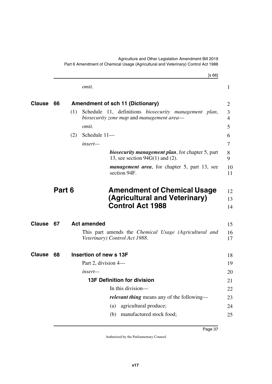|               |        |     | [s 66]                                                                                             |
|---------------|--------|-----|----------------------------------------------------------------------------------------------------|
|               |        |     | omit.                                                                                              |
| Clause        | 66     |     | <b>Amendment of sch 11 (Dictionary)</b>                                                            |
|               |        | (1) | Schedule 11, definitions biosecurity management plan,<br>biosecurity zone map and management area— |
|               |        |     | omit.                                                                                              |
|               |        | (2) | Schedule 11-                                                                                       |
|               |        |     | insert-                                                                                            |
|               |        |     | <b>biosecurity management plan</b> , for chapter 5, part<br>13, see section $94G(1)$ and (2).      |
|               |        |     | <i>management area</i> , for chapter 5, part 13, see<br>section 94F.                               |
|               | Part 6 |     | <b>Amendment of Chemical Usage</b>                                                                 |
|               |        |     | (Agricultural and Veterinary)<br><b>Control Act 1988</b>                                           |
| <b>Clause</b> | 67     |     | <b>Act amended</b>                                                                                 |
|               |        |     | This part amends the <i>Chemical Usage</i> (Agricultural and<br>Veterinary) Control Act 1988.      |
| <b>Clause</b> | 68     |     | Insertion of new s 13F                                                                             |
|               |        |     | Part 2, division 4—                                                                                |
|               |        |     |                                                                                                    |
|               |        |     | insert—                                                                                            |
|               |        |     | <b>13F Definition for division</b>                                                                 |
|               |        |     | In this division-                                                                                  |
|               |        |     | relevant thing means any of the following-                                                         |
|               |        |     | agricultural produce;<br>(a)                                                                       |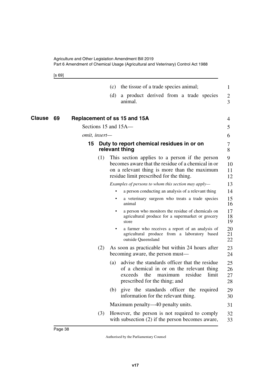[s 69]

Page 38

|              |    | the tissue of a trade species animal;<br>(c)                                                                                                                                                           | 1                    |
|--------------|----|--------------------------------------------------------------------------------------------------------------------------------------------------------------------------------------------------------|----------------------|
|              |    | a product derived from a trade species<br>(d)<br>animal.                                                                                                                                               | $\overline{2}$<br>3  |
| Clause<br>69 |    | Replacement of ss 15 and 15A                                                                                                                                                                           | 4                    |
|              |    | Sections 15 and 15A-                                                                                                                                                                                   | 5                    |
|              |    | omit, insert-                                                                                                                                                                                          | 6                    |
|              | 15 | Duty to report chemical residues in or on<br>relevant thing                                                                                                                                            | 7<br>8               |
|              |    | This section applies to a person if the person<br>(1)<br>becomes aware that the residue of a chemical in or<br>on a relevant thing is more than the maximum<br>residue limit prescribed for the thing. | 9<br>10<br>11<br>12  |
|              |    | Examples of persons to whom this section may apply-                                                                                                                                                    | 13                   |
|              |    | a person conducting an analysis of a relevant thing                                                                                                                                                    | 14                   |
|              |    | a veterinary surgeon who treats a trade species<br>$\bullet$<br>animal                                                                                                                                 | 15<br>16             |
|              |    | a person who monitors the residue of chemicals on<br>agricultural produce for a supermarket or grocery<br>store                                                                                        | 17<br>18<br>19       |
|              |    | a farmer who receives a report of an analysis of<br>$\bullet$<br>agricultural produce from a laboratory based<br>outside Queensland                                                                    | 20<br>21<br>22       |
|              |    | (2)<br>As soon as practicable but within 24 hours after<br>becoming aware, the person must—                                                                                                            | 23<br>24             |
|              |    | advise the standards officer that the residue<br>(a)<br>of a chemical in or on the relevant thing<br>exceeds<br>the<br>maximum<br>residue<br>limit<br>prescribed for the thing; and                    | 25<br>26<br>27<br>28 |
|              |    | (b) give the standards officer the required<br>information for the relevant thing.                                                                                                                     | 29<br>30             |
|              |    | Maximum penalty—40 penalty units.                                                                                                                                                                      | 31                   |
|              |    | (3)<br>However, the person is not required to comply<br>with subsection $(2)$ if the person becomes aware,                                                                                             | 32<br>33             |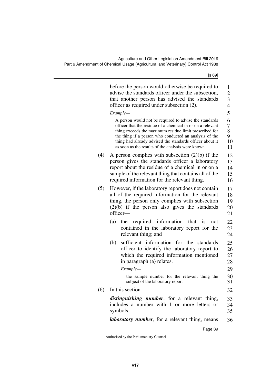[s 69]

|     | before the person would otherwise be required to<br>advise the standards officer under the subsection,<br>that another person has advised the standards<br>officer as required under subsection (2).                                                                                                                                                       | 1<br>$\overline{c}$<br>$\overline{\mathbf{3}}$<br>$\overline{4}$ |
|-----|------------------------------------------------------------------------------------------------------------------------------------------------------------------------------------------------------------------------------------------------------------------------------------------------------------------------------------------------------------|------------------------------------------------------------------|
|     | Example-                                                                                                                                                                                                                                                                                                                                                   | 5                                                                |
|     | A person would not be required to advise the standards<br>officer that the residue of a chemical in or on a relevant<br>thing exceeds the maximum residue limit prescribed for<br>the thing if a person who conducted an analysis of the<br>thing had already advised the standards officer about it<br>as soon as the results of the analysis were known. | 6<br>7<br>8<br>9<br>10<br>11                                     |
| (4) | A person complies with subsection $(2)(b)$ if the<br>person gives the standards officer a laboratory<br>report about the residue of a chemical in or on a<br>sample of the relevant thing that contains all of the<br>required information for the relevant thing.                                                                                         | 12<br>13<br>14<br>15<br>16                                       |
| (5) | However, if the laboratory report does not contain<br>all of the required information for the relevant<br>thing, the person only complies with subsection<br>$(2)(b)$ if the person also gives the standards<br>officer-                                                                                                                                   | 17<br>18<br>19<br>20<br>21                                       |
|     | required information that<br>(a)<br>the<br><i>is</i><br>not<br>contained in the laboratory report for the<br>relevant thing; and                                                                                                                                                                                                                           | 22<br>23<br>24                                                   |
|     | sufficient information for the<br>(b)<br>standards<br>officer to identify the laboratory report to<br>which the required information mentioned<br>in paragraph (a) relates.                                                                                                                                                                                | 25<br>26<br>27<br>28                                             |
|     | Example-                                                                                                                                                                                                                                                                                                                                                   | 29                                                               |
|     | the sample number for the relevant thing the<br>subject of the laboratory report                                                                                                                                                                                                                                                                           | 30<br>31                                                         |
| (6) | In this section-                                                                                                                                                                                                                                                                                                                                           | 32                                                               |
|     | distinguishing number, for a relevant thing,<br>includes a number with 1 or more letters or<br>symbols.                                                                                                                                                                                                                                                    | 33<br>34<br>35                                                   |
|     | <i>laboratory number</i> , for a relevant thing, means                                                                                                                                                                                                                                                                                                     | 36                                                               |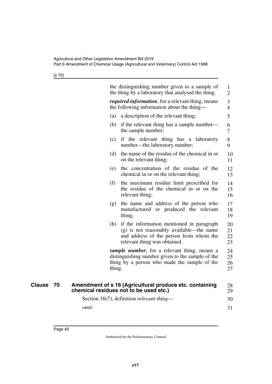[s 70]

| 1                    |
|----------------------|
| $\overline{2}$       |
| 3<br>$\overline{4}$  |
| 5                    |
| 6<br>7               |
| 8<br>9               |
| 10<br>11             |
| 12<br>13             |
| 14<br>15<br>16       |
| 17<br>18<br>19       |
| 20<br>21<br>22<br>23 |
| 24<br>25<br>26<br>27 |
| 28<br>29             |
| 30                   |
|                      |
|                      |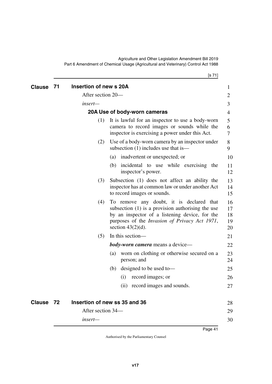| <b>Clause</b> | 71 | Insertion of new s 20A |                                                                                                                                                                                                                                    | 1                          |
|---------------|----|------------------------|------------------------------------------------------------------------------------------------------------------------------------------------------------------------------------------------------------------------------------|----------------------------|
|               |    | After section 20-      |                                                                                                                                                                                                                                    | 2                          |
|               |    | insert-                |                                                                                                                                                                                                                                    | 3                          |
|               |    |                        | 20A Use of body-worn cameras                                                                                                                                                                                                       | 4                          |
|               |    | (1)                    | It is lawful for an inspector to use a body-worn<br>camera to record images or sounds while the<br>inspector is exercising a power under this Act.                                                                                 | 5<br>6<br>7                |
|               |    | (2)                    | Use of a body-worn camera by an inspector under<br>subsection (1) includes use that is—                                                                                                                                            | 8<br>9                     |
|               |    |                        | (a) inadvertent or unexpected; or                                                                                                                                                                                                  | 10                         |
|               |    |                        | incidental to use while exercising the<br>(b)<br>inspector's power.                                                                                                                                                                | 11<br>12                   |
|               |    | (3)                    | Subsection (1) does not affect an ability the<br>inspector has at common law or under another Act<br>to record images or sounds.                                                                                                   | 13<br>14<br>15             |
|               |    | (4)                    | To remove any doubt, it is declared that<br>subsection $(1)$ is a provision authorising the use<br>by an inspector of a listening device, for the<br>purposes of the <i>Invasion of Privacy Act 1971</i> ,<br>section $43(2)(d)$ . | 16<br>17<br>18<br>19<br>20 |
|               |    | (5)                    | In this section-                                                                                                                                                                                                                   | 21                         |
|               |    |                        | <b>body-worn camera</b> means a device—                                                                                                                                                                                            | 22                         |
|               |    |                        | worn on clothing or otherwise secured on a<br>(a)<br>person; and                                                                                                                                                                   | 23<br>24                   |
|               |    |                        | designed to be used to-<br>(b)                                                                                                                                                                                                     | 25                         |
|               |    |                        | record images; or<br>(i)                                                                                                                                                                                                           | 26                         |
|               |    |                        | (ii) record images and sounds.                                                                                                                                                                                                     | 27                         |
| Clause 72     |    |                        | Insertion of new ss 35 and 36                                                                                                                                                                                                      | 28                         |
|               |    | After section 34—      |                                                                                                                                                                                                                                    | 29                         |
|               |    | $insert-$              |                                                                                                                                                                                                                                    | 30                         |

[s 71]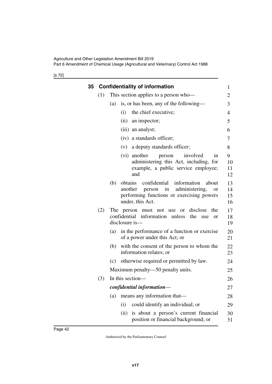[s 72]

| 35 | <b>Confidentiality of information</b> |                                                                                                                                                                                   |                      |  |
|----|---------------------------------------|-----------------------------------------------------------------------------------------------------------------------------------------------------------------------------------|----------------------|--|
|    | (1)                                   | This section applies to a person who-                                                                                                                                             | $\overline{c}$       |  |
|    |                                       | is, or has been, any of the following—<br>(a)                                                                                                                                     | 3                    |  |
|    |                                       | the chief executive;<br>(i)                                                                                                                                                       | 4                    |  |
|    |                                       | (ii)<br>an inspector;                                                                                                                                                             | 5                    |  |
|    |                                       | (iii) an analyst;                                                                                                                                                                 | 6                    |  |
|    |                                       | (iv) a standards officer;                                                                                                                                                         | 7                    |  |
|    |                                       | (v) a deputy standards officer;                                                                                                                                                   | 8                    |  |
|    |                                       | involved<br>(vi) another<br>person<br>in<br>administering this Act, including, for<br>example, a public service employee;<br>and                                                  | 9<br>10<br>11<br>12  |  |
|    |                                       | confidential<br>information<br>obtains<br>(b)<br>about<br>in<br>administering,<br>another<br>person<br><b>or</b><br>performing functions or exercising powers<br>under, this Act. | 13<br>14<br>15<br>16 |  |
|    | (2)                                   | The person must not use or disclose<br>the<br>confidential information unless<br>the<br>use<br><b>or</b><br>disclosure is-                                                        | 17<br>18<br>19       |  |
|    |                                       | in the performance of a function or exercise<br>(a)<br>of a power under this Act; or                                                                                              | 20<br>21             |  |
|    |                                       | with the consent of the person to whom the<br>(b)<br>information relates; or                                                                                                      | 22<br>23             |  |
|    |                                       | (c) otherwise required or permitted by law.                                                                                                                                       | 24                   |  |
|    |                                       | Maximum penalty—50 penalty units.                                                                                                                                                 | 25                   |  |
|    | (3)                                   | In this section-                                                                                                                                                                  | 26                   |  |
|    |                                       | confidential information-                                                                                                                                                         | 27                   |  |
|    |                                       | means any information that—<br>(a)                                                                                                                                                | 28                   |  |
|    |                                       | could identify an individual; or<br>(i)                                                                                                                                           | 29                   |  |
|    |                                       | is about a person's current financial<br>(ii)<br>position or financial background; or                                                                                             | 30<br>31             |  |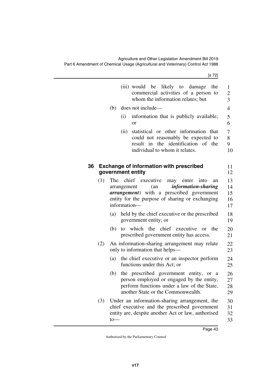[s 72]

|    |     |     | (iii) would be likely to damage<br>the<br>commercial activities of a person to<br>whom the information relates; but                                                                                                | 1<br>$\overline{c}$<br>$\overline{3}$ |
|----|-----|-----|--------------------------------------------------------------------------------------------------------------------------------------------------------------------------------------------------------------------|---------------------------------------|
|    |     | (b) | does not include—                                                                                                                                                                                                  | $\overline{4}$                        |
|    |     |     | information that is publicly available;<br>(i)<br><sub>or</sub>                                                                                                                                                    | 5<br>6                                |
|    |     |     | statistical or other information that<br>(ii)<br>could not reasonably be expected to<br>result in the identification of the<br>individual to whom it relates.                                                      | 7<br>8<br>9<br>10                     |
| 36 |     |     | <b>Exchange of information with prescribed</b><br>government entity                                                                                                                                                | 11<br>12                              |
|    | (1) | The | chief executive<br>may<br>enter<br>into<br>an<br>information-sharing<br>(an<br>arrangement<br><i>arrangement</i> ) with a prescribed government<br>entity for the purpose of sharing or exchanging<br>information- | 13<br>14<br>15<br>16<br>17            |
|    |     | (a) | held by the chief executive or the prescribed<br>government entity; or                                                                                                                                             | 18<br>19                              |
|    |     | (b) | the chief executive<br>which<br>the<br>to<br><b>or</b><br>prescribed government entity has access.                                                                                                                 | 20<br>21                              |
|    | (2) |     | An information-sharing arrangement may relate<br>only to information that helps—                                                                                                                                   | 22<br>23                              |
|    |     | (a) | the chief executive or an inspector perform<br>functions under this Act; or                                                                                                                                        | 24<br>25                              |
|    |     | (b) | the prescribed government entity, or a<br>person employed or engaged by the entity,<br>perform functions under a law of the State,<br>another State or the Commonwealth.                                           | 26<br>27<br>28<br>29                  |
|    | (3) | to  | Under an information-sharing arrangement, the<br>chief executive and the prescribed government<br>entity are, despite another Act or law, authorised                                                               | 30<br>31<br>32<br>33                  |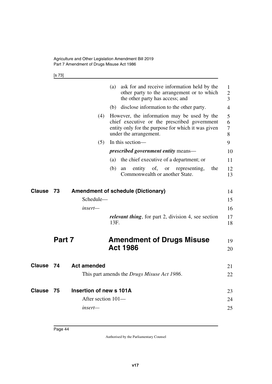[s 73]

|               |        |                         | ask for and receive information held by the<br>(a)<br>other party to the arrangement or to which<br>the other party has access; and                                         | $\mathbf{1}$<br>$\overline{2}$<br>3 |
|---------------|--------|-------------------------|-----------------------------------------------------------------------------------------------------------------------------------------------------------------------------|-------------------------------------|
|               |        |                         | (b) disclose information to the other party.                                                                                                                                | $\overline{4}$                      |
|               |        | (4)                     | However, the information may be used by the<br>chief executive or the prescribed government<br>entity only for the purpose for which it was given<br>under the arrangement. | 5<br>6<br>$\tau$<br>8               |
|               |        | (5)                     | In this section-                                                                                                                                                            | 9                                   |
|               |        |                         | <i>prescribed government entity means—</i>                                                                                                                                  | 10                                  |
|               |        |                         | the chief executive of a department; or<br>(a)                                                                                                                              | 11                                  |
|               |        |                         | entity of,<br>the<br>(b)<br><sub>or</sub><br>representing,<br>an<br>Commonwealth or another State.                                                                          | 12<br>13                            |
| <b>Clause</b> | 73     |                         | <b>Amendment of schedule (Dictionary)</b>                                                                                                                                   | 14                                  |
|               |        | Schedule-               |                                                                                                                                                                             | 15                                  |
|               |        | insert—                 |                                                                                                                                                                             | 16                                  |
|               |        |                         | <i>relevant thing</i> , for part 2, division 4, see section<br>13F.                                                                                                         | 17<br>18                            |
|               | Part 7 |                         | <b>Amendment of Drugs Misuse</b><br><b>Act 1986</b>                                                                                                                         | 19<br>20                            |
| <b>Clause</b> | 74     | <b>Act amended</b>      |                                                                                                                                                                             | 21                                  |
|               |        |                         | This part amends the <i>Drugs Misuse Act 1986</i> .                                                                                                                         | 22                                  |
| Clause        | 75     | Insertion of new s 101A |                                                                                                                                                                             | 23                                  |
|               |        | After section 101-      |                                                                                                                                                                             | 24                                  |
|               |        | insert—                 |                                                                                                                                                                             | 25                                  |
|               |        |                         |                                                                                                                                                                             |                                     |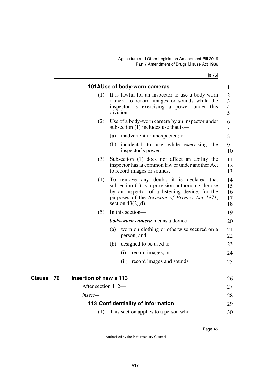[s 76]

|                     |                        | 101AUse of body-worn cameras                                                                                                                                                                                                       | 1                                                    |
|---------------------|------------------------|------------------------------------------------------------------------------------------------------------------------------------------------------------------------------------------------------------------------------------|------------------------------------------------------|
|                     | (1)                    | It is lawful for an inspector to use a body-worn<br>camera to record images or sounds while the<br>inspector is exercising a power under this<br>division.                                                                         | $\overline{2}$<br>3<br>$\overline{\mathcal{A}}$<br>5 |
|                     | (2)                    | Use of a body-worn camera by an inspector under<br>subsection $(1)$ includes use that is—                                                                                                                                          | 6<br>$\overline{7}$                                  |
|                     |                        | inadvertent or unexpected; or<br>(a)                                                                                                                                                                                               | 8                                                    |
|                     |                        | (b) incidental to use while exercising the<br>inspector's power.                                                                                                                                                                   | 9<br>10                                              |
|                     | (3)                    | Subsection (1) does not affect an ability the<br>inspector has at common law or under another Act<br>to record images or sounds.                                                                                                   | 11<br>12<br>13                                       |
|                     | (4)                    | To remove any doubt, it is declared that<br>subsection $(1)$ is a provision authorising the use<br>by an inspector of a listening device, for the<br>purposes of the <i>Invasion of Privacy Act 1971</i> ,<br>section $43(2)(d)$ . | 14<br>15<br>16<br>17<br>18                           |
|                     | (5)                    | In this section-                                                                                                                                                                                                                   | 19                                                   |
|                     |                        | <b>body-worn camera</b> means a device—                                                                                                                                                                                            | 20                                                   |
|                     |                        | worn on clothing or otherwise secured on a<br>(a)<br>person; and                                                                                                                                                                   | 21<br>22                                             |
|                     |                        | designed to be used to-<br>(b)                                                                                                                                                                                                     | 23                                                   |
|                     |                        | record images; or<br>(i)                                                                                                                                                                                                           | 24                                                   |
|                     |                        | record images and sounds.<br>(ii)                                                                                                                                                                                                  | 25                                                   |
| <b>Clause</b><br>76 | Insertion of new s 113 |                                                                                                                                                                                                                                    | 26                                                   |
|                     | After section 112-     |                                                                                                                                                                                                                                    | 27                                                   |
|                     | insert—                |                                                                                                                                                                                                                                    | 28                                                   |
|                     |                        | 113 Confidentiality of information                                                                                                                                                                                                 | 29                                                   |
|                     | (1)                    | This section applies to a person who-                                                                                                                                                                                              | 30                                                   |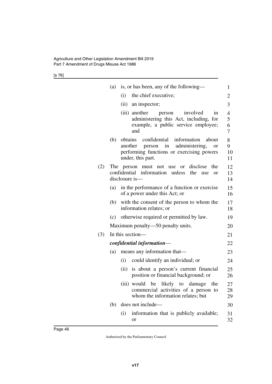[s 76]

|     | (a)              | is, or has been, any of the following—                                                                                                                      | 1                  |
|-----|------------------|-------------------------------------------------------------------------------------------------------------------------------------------------------------|--------------------|
|     |                  | the chief executive;<br>(i)                                                                                                                                 | 2                  |
|     |                  | (ii) an inspector;                                                                                                                                          | 3                  |
|     |                  | (iii) another<br>involved<br>person<br>1n<br>administering this Act, including, for<br>example, a public service employee;<br>and                           | 4<br>5<br>6<br>7   |
|     | (b)              | confidential information<br>obtains<br>about<br>administering,<br>another person in<br>or<br>performing functions or exercising powers<br>under, this part. | 8<br>9<br>10<br>11 |
| (2) |                  | The person must not use or disclose<br>the<br>confidential information unless the<br>use<br>or<br>disclosure is-                                            | 12<br>13<br>14     |
|     | (a)              | in the performance of a function or exercise<br>of a power under this Act; or                                                                               | 15<br>16           |
|     | (b)              | with the consent of the person to whom the<br>information relates; or                                                                                       | 17<br>18           |
|     | (c)              | otherwise required or permitted by law.                                                                                                                     | 19                 |
|     |                  | Maximum penalty—50 penalty units.                                                                                                                           | 20                 |
| (3) | In this section— |                                                                                                                                                             |                    |
|     |                  | confidential information-                                                                                                                                   | 22                 |
|     | (a)              | means any information that—                                                                                                                                 | 23                 |
|     |                  | could identify an individual; or<br>(i)                                                                                                                     | 24                 |
|     |                  | is about a person's current financial<br>(ii)<br>position or financial background; or                                                                       | 25<br>26           |
|     |                  | (iii) would be<br>likely<br>the<br>to<br>damage<br>commercial activities of a person to<br>whom the information relates; but                                | 27<br>28<br>29     |
|     | (b)              | does not include—                                                                                                                                           | 30                 |
|     |                  | information that is publicly available;<br>(i)<br>or                                                                                                        | 31<br>32           |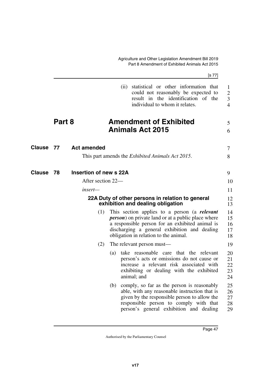Agriculture and Other Legislation Amendment Bill 2019 Part 8 Amendment of Exhibited Animals Act 2015

|                  |        |                                |     | [s 77]                                                                                                                                                                                                                                                 |                                            |
|------------------|--------|--------------------------------|-----|--------------------------------------------------------------------------------------------------------------------------------------------------------------------------------------------------------------------------------------------------------|--------------------------------------------|
|                  |        |                                |     | statistical or other information that<br>(ii)<br>could not reasonably be expected to<br>result in the identification of the<br>individual to whom it relates.                                                                                          | 1<br>$\overline{2}$<br>3<br>$\overline{4}$ |
|                  | Part 8 |                                |     | <b>Amendment of Exhibited</b><br><b>Animals Act 2015</b>                                                                                                                                                                                               | 5<br>6                                     |
| <b>Clause 77</b> |        | <b>Act amended</b>             |     | This part amends the <i>Exhibited Animals Act 2015</i> .                                                                                                                                                                                               | 7<br>8                                     |
| Clause           | 78     | Insertion of new s 22A         |     |                                                                                                                                                                                                                                                        | 9                                          |
|                  |        | After section 22—<br>$insert-$ |     |                                                                                                                                                                                                                                                        | 10                                         |
|                  |        |                                |     | 22A Duty of other persons in relation to general<br>exhibition and dealing obligation                                                                                                                                                                  | 11<br>12<br>13                             |
|                  |        | (1)                            |     | This section applies to a person (a relevant<br><i>person</i> ) on private land or at a public place where<br>a responsible person for an exhibited animal is<br>discharging a general exhibition and dealing<br>obligation in relation to the animal. | 14<br>15<br>16<br>17<br>18                 |
|                  |        | (2)                            |     | The relevant person must—                                                                                                                                                                                                                              | 19                                         |
|                  |        |                                | (a) | take reasonable care that the relevant<br>person's acts or omissions do not cause or<br>increase a relevant risk associated with<br>exhibiting or dealing with the exhibited<br>animal; and                                                            | 20<br>21<br>22<br>23<br>24                 |
|                  |        |                                | (b) | comply, so far as the person is reasonably<br>able, with any reasonable instruction that is<br>given by the responsible person to allow the<br>responsible person to comply with that<br>person's general exhibition and dealing                       | 25<br>26<br>27<br>28<br>29                 |
|                  |        |                                |     |                                                                                                                                                                                                                                                        |                                            |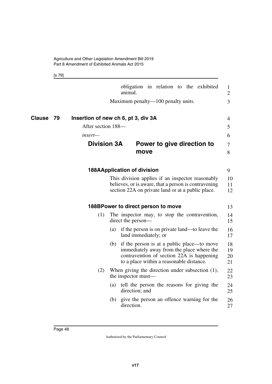[s 79]

|              |                                     | animal. |                                          |  | obligation in relation to the exhibited                                                                                                                       | 1<br>$\overline{2}$  |
|--------------|-------------------------------------|---------|------------------------------------------|--|---------------------------------------------------------------------------------------------------------------------------------------------------------------|----------------------|
|              |                                     |         | Maximum penalty—100 penalty units.       |  |                                                                                                                                                               | 3                    |
| Clause<br>79 | Insertion of new ch 6, pt 3, div 3A |         |                                          |  |                                                                                                                                                               | 4                    |
|              | After section 188-                  |         |                                          |  |                                                                                                                                                               | 5                    |
|              | insert—                             |         |                                          |  |                                                                                                                                                               | 6                    |
|              | <b>Division 3A</b>                  |         | move                                     |  | Power to give direction to                                                                                                                                    | $\tau$<br>8          |
|              |                                     |         | <b>188AApplication of division</b>       |  |                                                                                                                                                               | 9                    |
|              |                                     |         |                                          |  | This division applies if an inspector reasonably<br>believes, or is aware, that a person is contravening<br>section 22A on private land or at a public place. | 10<br>11<br>12       |
|              |                                     |         | 188BPower to direct person to move       |  |                                                                                                                                                               | 13                   |
|              | (1)                                 |         | direct the person-                       |  | The inspector may, to stop the contravention,                                                                                                                 | 14<br>15             |
|              |                                     | (a)     | land immediately; or                     |  | if the person is on private land—to leave the                                                                                                                 | 16<br>17             |
|              |                                     | (b)     | to a place within a reasonable distance. |  | if the person is at a public place—to move<br>immediately away from the place where the<br>contravention of section 22A is happening                          | 18<br>19<br>20<br>21 |
|              | (2)                                 |         | the inspector must-                      |  | When giving the direction under subsection $(1)$ ,                                                                                                            | 22<br>23             |
|              |                                     | (a)     | direction; and                           |  | tell the person the reasons for giving the                                                                                                                    | 24<br>25             |
|              |                                     | (b)     | direction.                               |  | give the person an offence warning for the                                                                                                                    | 26<br>27             |
|              |                                     |         |                                          |  |                                                                                                                                                               |                      |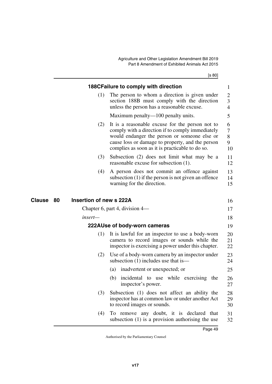[s 80]

|                     |     | 188CFailure to comply with direction                                                                                                                                                                                                                       | 1                        |
|---------------------|-----|------------------------------------------------------------------------------------------------------------------------------------------------------------------------------------------------------------------------------------------------------------|--------------------------|
|                     | (1) | The person to whom a direction is given under<br>section 188B must comply with the direction<br>unless the person has a reasonable excuse.                                                                                                                 | 2<br>3<br>$\overline{4}$ |
|                     |     | Maximum penalty—100 penalty units.                                                                                                                                                                                                                         | 5                        |
|                     | (2) | It is a reasonable excuse for the person not to<br>comply with a direction if to comply immediately<br>would endanger the person or someone else or<br>cause loss or damage to property, and the person<br>complies as soon as it is practicable to do so. | 6<br>7<br>8<br>9<br>10   |
|                     | (3) | Subsection (2) does not limit what may be a<br>reasonable excuse for subsection (1).                                                                                                                                                                       | 11<br>12                 |
|                     | (4) | A person does not commit an offence against<br>subsection $(1)$ if the person is not given an offence<br>warning for the direction.                                                                                                                        | 13<br>14<br>15           |
| <b>Clause</b><br>80 |     | Insertion of new s 222A                                                                                                                                                                                                                                    | 16                       |
|                     |     | Chapter 6, part 4, division $4-$                                                                                                                                                                                                                           | 17                       |
| insert—             |     |                                                                                                                                                                                                                                                            | 18                       |
|                     |     | 222AUse of body-worn cameras                                                                                                                                                                                                                               | 19                       |
|                     | (1) | It is lawful for an inspector to use a body-worn<br>camera to record images or sounds while the<br>inspector is exercising a power under this chapter.                                                                                                     | 20<br>21<br>22           |
|                     | (2) | Use of a body-worn camera by an inspector under<br>subsection $(1)$ includes use that is —                                                                                                                                                                 | 23<br>24                 |
|                     |     | (a) inadvertent or unexpected; or                                                                                                                                                                                                                          | 25                       |
|                     |     | (b) incidental to use while exercising the<br>inspector's power.                                                                                                                                                                                           | 26<br>27                 |
|                     | (3) | Subsection (1) does not affect an ability the<br>inspector has at common law or under another Act<br>to record images or sounds.                                                                                                                           | 28<br>29<br>30           |
|                     | (4) | To remove any doubt, it is declared that<br>subsection $(1)$ is a provision authorising the use                                                                                                                                                            | 31<br>32                 |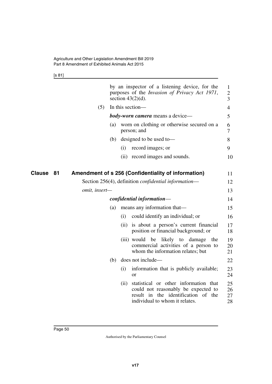[s 81]

|               |               |     |      | by an inspector of a listening device, for the<br>purposes of the <i>Invasion of Privacy Act 1971</i> ,<br>section $43(2)(d)$ .                          | 1<br>2<br>3          |
|---------------|---------------|-----|------|----------------------------------------------------------------------------------------------------------------------------------------------------------|----------------------|
|               | (5)           |     |      | In this section-                                                                                                                                         | 4                    |
|               |               |     |      | <b>body-worn camera</b> means a device—                                                                                                                  | 5                    |
|               |               | (a) |      | worn on clothing or otherwise secured on a<br>person; and                                                                                                | 6<br>7               |
|               |               | (b) |      | designed to be used to-                                                                                                                                  | 8                    |
|               |               |     | (i)  | record images; or                                                                                                                                        | 9                    |
|               |               |     |      | (ii) record images and sounds.                                                                                                                           | 10                   |
| <b>Clause</b> | 81            |     |      | Amendment of s 256 (Confidentiality of information)                                                                                                      | 11                   |
|               |               |     |      | Section 256(4), definition <i>confidential information</i> —                                                                                             | 12                   |
|               | omit, insert- |     |      |                                                                                                                                                          | 13                   |
|               |               |     |      | confidential information-                                                                                                                                | 14                   |
|               |               | (a) |      | means any information that—                                                                                                                              | 15                   |
|               |               |     | (i)  | could identify an individual; or                                                                                                                         | 16                   |
|               |               |     |      | (ii) is about a person's current financial<br>position or financial background; or                                                                       | 17<br>18             |
|               |               |     |      | (iii) would<br>be<br>likely to damage<br>the<br>commercial activities of a person to<br>whom the information relates; but                                | 19<br>20<br>21       |
|               |               | (b) |      | does not include—                                                                                                                                        | 22                   |
|               |               |     | (i)  | information that is publicly available;<br>or                                                                                                            | 23<br>24             |
|               |               |     | (ii) | statistical or other information that<br>could not reasonably be expected to<br>result in the identification<br>of the<br>individual to whom it relates. | 25<br>26<br>27<br>28 |
|               |               |     |      |                                                                                                                                                          |                      |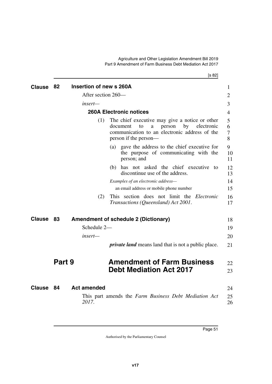[s 82]

| <b>Clause</b> | 82     | Insertion of new s 260A     |                                                                                                                                                                               | 1                |
|---------------|--------|-----------------------------|-------------------------------------------------------------------------------------------------------------------------------------------------------------------------------|------------------|
|               |        | After section 260—          |                                                                                                                                                                               | 2                |
|               |        | insert—                     |                                                                                                                                                                               | 3                |
|               |        |                             | <b>260A Electronic notices</b>                                                                                                                                                | 4                |
|               |        | (1)                         | The chief executive may give a notice or other<br>document<br>person<br>by<br>electronic<br>to<br>a<br>communication to an electronic address of the<br>person if the person— | 5<br>6<br>7<br>8 |
|               |        |                             | (a) gave the address to the chief executive for<br>the purpose of communicating with the<br>person; and                                                                       | 9<br>10<br>11    |
|               |        |                             | (b) has not asked the chief executive to<br>discontinue use of the address.                                                                                                   | 12<br>13         |
|               |        |                             | Examples of an electronic address-                                                                                                                                            | 14               |
|               |        |                             | an email address or mobile phone number                                                                                                                                       | 15               |
|               |        | (2)                         | This section does not limit the <i>Electronic</i><br>Transactions (Queensland) Act 2001.                                                                                      | 16<br>17         |
| <b>Clause</b> | 83     |                             | <b>Amendment of schedule 2 (Dictionary)</b>                                                                                                                                   | 18               |
|               |        | Schedule 2-                 |                                                                                                                                                                               | 19               |
|               |        | insert—                     |                                                                                                                                                                               | 20               |
|               |        |                             | <i>private land</i> means land that is not a public place.                                                                                                                    | 21               |
|               | Part 9 |                             | <b>Amendment of Farm Business</b><br><b>Debt Mediation Act 2017</b>                                                                                                           | 22<br>23         |
| <b>Clause</b> | - 84   | <b>Act amended</b><br>2017. | This part amends the Farm Business Debt Mediation Act                                                                                                                         | 24<br>25<br>26   |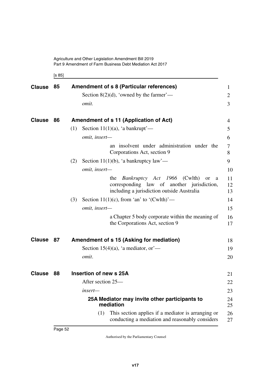Agriculture and Other Legislation Amendment Bill 2019 Part 9 Amendment of Farm Business Debt Mediation Act 2017

[s 85]

| <b>Clause</b> | 85 | <b>Amendment of s 8 (Particular references)</b>                                                                                                             | $\mathbf{1}$   |
|---------------|----|-------------------------------------------------------------------------------------------------------------------------------------------------------------|----------------|
|               |    | Section 8(2)(d), 'owned by the farmer'—                                                                                                                     | $\overline{2}$ |
|               |    | omit.                                                                                                                                                       | 3              |
| <b>Clause</b> | 86 | Amendment of s 11 (Application of Act)                                                                                                                      | 4              |
|               |    | Section 11(1)(a), 'a bankrupt'—<br>(1)                                                                                                                      | 5              |
|               |    | omit, insert-                                                                                                                                               | 6              |
|               |    | an insolvent under administration under the<br>Corporations Act, section 9                                                                                  | 7<br>8         |
|               |    | Section 11(1)(b), 'a bankruptcy law'—<br>(2)                                                                                                                | 9              |
|               |    | omit, insert-                                                                                                                                               | 10             |
|               |    | <i>Bankruptcy Act 1966</i> (Cwlth)<br>the<br><sub>or</sub><br>a<br>corresponding law of another jurisdiction,<br>including a jurisdiction outside Australia | 11<br>12<br>13 |
|               |    | Section 11(1)(c), from 'an' to '(Cwlth)'—<br>(3)                                                                                                            | 14             |
|               |    | omit, insert-                                                                                                                                               | 15             |
|               |    | a Chapter 5 body corporate within the meaning of<br>the Corporations Act, section 9                                                                         | 16<br>17       |
| <b>Clause</b> | 87 | Amendment of s 15 (Asking for mediation)                                                                                                                    | 18             |
|               |    | Section 15(4)(a), 'a mediator, or $\sim$                                                                                                                    | 19             |
|               |    | omit.                                                                                                                                                       | 20             |
| <b>Clause</b> | 88 | Insertion of new s 25A                                                                                                                                      | 21             |
|               |    | After section 25—                                                                                                                                           | 22             |
|               |    | insert-                                                                                                                                                     | 23             |
|               |    | 25A Mediator may invite other participants to<br>mediation                                                                                                  | 24<br>25       |
|               |    | This section applies if a mediator is arranging or<br>(1)<br>conducting a mediation and reasonably considers                                                | 26<br>27       |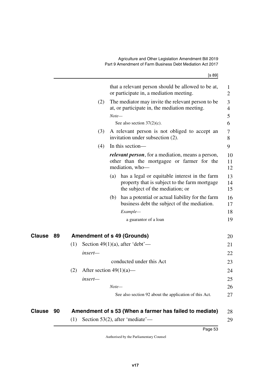[s 89] that a relevant person should be allowed to be at, or participate in, a mediation meeting. (2) The mediator may invite the relevant person to be at, or participate in, the mediation meeting. *Note—* See also section 37(2)(c). (3) A relevant person is not obliged to accept an invitation under subsection (2). (4) In this section *relevant person*, for a mediation, means a person, other than the mortgagee or farmer for the mediation, who— (a) has a legal or equitable interest in the farm property that is subject to the farm mortgage the subject of the mediation; or (b) has a potential or actual liability for the farm business debt the subject of the mediation. *Example* a guarantor of a loan **89 Amendment of s 49 (Grounds) Clause** 20 (1) Section 49(1)(a), after 'debt' *insert* conducted under this Act (2) After section  $49(1)(a)$  *insert— Note—* See also section 92 about the application of this Act. 1 2 3 4 5 6 7 8 9 10 11 12 13 14 15 16 17 18 19 21 22 23 24 25 26 27

| Clause 90 | Amendment of s 53 (When a farmer has failed to mediate) | 28 |
|-----------|---------------------------------------------------------|----|
|           | $(1)$ Section 53(2), after 'mediate'—                   |    |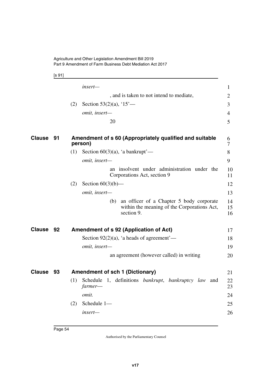Agriculture and Other Legislation Amendment Bill 2019 Part 9 Amendment of Farm Business Debt Mediation Act 2017

[s 91]

|               |    | insert-                                                                                                      | 1              |
|---------------|----|--------------------------------------------------------------------------------------------------------------|----------------|
|               |    | , and is taken to not intend to mediate,                                                                     | $\overline{2}$ |
|               |    | Section 53 $(2)(a)$ , '15'-<br>(2)                                                                           | 3              |
|               |    | omit, insert-                                                                                                | $\overline{4}$ |
|               |    | 20                                                                                                           | 5              |
| <b>Clause</b> | 91 | Amendment of s 60 (Appropriately qualified and suitable<br>person)                                           | 6<br>7         |
|               |    | (1)<br>Section $60(3)(a)$ , 'a bankrupt'—                                                                    | 8              |
|               |    | omit, insert-                                                                                                | 9              |
|               |    | an insolvent under administration under the<br>Corporations Act, section 9                                   | 10<br>11       |
|               |    | (2)<br>Section $60(3)(b)$ —                                                                                  | 12             |
|               |    | omit, insert-                                                                                                | 13             |
|               |    | an officer of a Chapter 5 body corporate<br>(b)<br>within the meaning of the Corporations Act,<br>section 9. | 14<br>15<br>16 |
| Clause        | 92 | Amendment of s 92 (Application of Act)                                                                       | 17             |
|               |    | Section $92(2)(a)$ , 'a heads of agreement'—                                                                 | 18             |
|               |    | omit, insert-                                                                                                | 19             |
|               |    | an agreement (however called) in writing                                                                     | 20             |
| <b>Clause</b> | 93 | <b>Amendment of sch 1 (Dictionary)</b>                                                                       | 21             |
|               |    | Schedule 1, definitions <i>bankrupt</i> , <i>bankruptcy</i> law and<br>(1)<br>farmer-                        | 22<br>23       |
|               |    | omit.                                                                                                        | 24             |
|               |    | Schedule 1-<br>(2)                                                                                           | 25             |
|               |    | insert—                                                                                                      | 26             |
|               |    |                                                                                                              |                |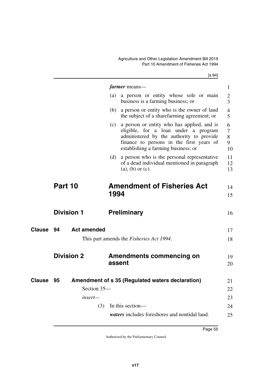$[s \underline{94}]$ 

|               |                          |      | <i>farmer</i> means—                                                                                                                                                                                              | 1                           |
|---------------|--------------------------|------|-------------------------------------------------------------------------------------------------------------------------------------------------------------------------------------------------------------------|-----------------------------|
|               |                          | (a)  | a person or entity whose sole or main<br>business is a farming business; or                                                                                                                                       | $\overline{2}$<br>3         |
|               |                          | (b)  | a person or entity who is the owner of land<br>the subject of a sharefarming agreement; or                                                                                                                        | $\overline{4}$<br>5         |
|               |                          | (c)  | a person or entity who has applied, and is<br>eligible, for a loan under a program<br>administered by the authority to provide<br>finance to persons in the first years of<br>establishing a farming business; or | 6<br>$\tau$<br>8<br>9<br>10 |
|               |                          | (d)  | a person who is the personal representative<br>of a dead individual mentioned in paragraph<br>$(a)$ , $(b)$ or $(c)$ .                                                                                            | 11<br>12<br>13              |
|               | Part 10                  | 1994 | <b>Amendment of Fisheries Act</b>                                                                                                                                                                                 | 14<br>15                    |
|               | <b>Division 1</b>        |      | <b>Preliminary</b>                                                                                                                                                                                                | 16                          |
| <b>Clause</b> | 94<br><b>Act amended</b> |      |                                                                                                                                                                                                                   | 17                          |
|               |                          |      | This part amends the <i>Fisheries Act 1994</i> .                                                                                                                                                                  | 18                          |
|               | <b>Division 2</b>        |      | Amendments commencing on<br>assent                                                                                                                                                                                | 19<br>20                    |
| <b>Clause</b> | 95                       |      | Amendment of s 35 (Regulated waters declaration)                                                                                                                                                                  | 21                          |
|               | Section 35-              |      |                                                                                                                                                                                                                   | 22                          |
|               | $insert-$                |      |                                                                                                                                                                                                                   | 23                          |
|               |                          | (3)  | In this section-                                                                                                                                                                                                  | 24                          |
|               |                          |      | waters includes foreshores and nontidal land.                                                                                                                                                                     | 25                          |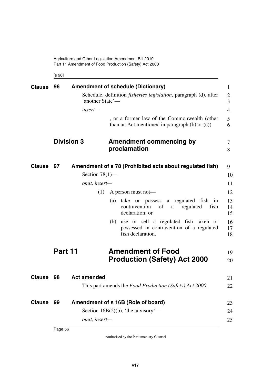Agriculture and Other Legislation Amendment Bill 2019 Part 11 Amendment of Food Production (Safety) Act 2000

[s 96]

| <b>Clause</b> | 96                | 'another State'—<br>insert-               | <b>Amendment of schedule (Dictionary)</b><br>Schedule, definition <i>fisheries legislation</i> , paragraph (d), after<br>, or a former law of the Commonwealth (other<br>than an Act mentioned in paragraph $(b)$ or $(c)$ )                                                                                                           | $\mathbf{1}$<br>$\overline{2}$<br>3<br>$\overline{4}$<br>5<br>6 |
|---------------|-------------------|-------------------------------------------|----------------------------------------------------------------------------------------------------------------------------------------------------------------------------------------------------------------------------------------------------------------------------------------------------------------------------------------|-----------------------------------------------------------------|
|               | <b>Division 3</b> |                                           | <b>Amendment commencing by</b><br>proclamation                                                                                                                                                                                                                                                                                         | $\tau$<br>8                                                     |
| <b>Clause</b> | 97                | Section $78(1)$ —<br>omit, insert-<br>(1) | Amendment of s 78 (Prohibited acts about regulated fish)<br>A person must not—<br>a regulated fish<br>(a)<br>take<br>possess<br><sub>or</sub><br>in<br>contravention<br>of<br>regulated<br>fish<br>a<br>declaration; or<br>(b) use or sell a regulated fish taken or<br>possessed in contravention of a regulated<br>fish declaration. | 9<br>10<br>11<br>12<br>13<br>14<br>15<br>16<br>17<br>18         |
|               | Part 11           |                                           | <b>Amendment of Food</b><br><b>Production (Safety) Act 2000</b>                                                                                                                                                                                                                                                                        | 19<br>20                                                        |
| <b>Clause</b> | 98                | <b>Act amended</b>                        | This part amends the Food Production (Safety) Act 2000.                                                                                                                                                                                                                                                                                | 21<br>22                                                        |
| <b>Clause</b> | 99                | omit, insert-                             | Amendment of s 16B (Role of board)<br>Section 16B(2)(b), 'the advisory'—                                                                                                                                                                                                                                                               | 23<br>24<br>25                                                  |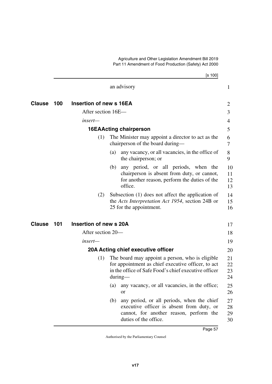Agriculture and Other Legislation Amendment Bill 2019 Part 11 Amendment of Food Production (Safety) Act 2000

|               |     |                         |     | [s 100]                                                                                                                                                                    |                      |
|---------------|-----|-------------------------|-----|----------------------------------------------------------------------------------------------------------------------------------------------------------------------------|----------------------|
|               |     |                         |     | an advisory                                                                                                                                                                | $\mathbf{1}$         |
| Clause        | 100 | Insertion of new s 16EA |     |                                                                                                                                                                            | 2                    |
|               |     | After section 16E—      |     |                                                                                                                                                                            | 3                    |
|               |     | insert-                 |     |                                                                                                                                                                            | 4                    |
|               |     |                         |     | <b>16EAActing chairperson</b>                                                                                                                                              | 5                    |
|               |     | (1)                     |     | The Minister may appoint a director to act as the<br>chairperson of the board during—                                                                                      | 6<br>7               |
|               |     |                         | (a) | any vacancy, or all vacancies, in the office of<br>the chairperson; or                                                                                                     | 8<br>9               |
|               |     |                         | (b) | any period, or all periods, when the<br>chairperson is absent from duty, or cannot,<br>for another reason, perform the duties of the<br>office.                            | 10<br>11<br>12<br>13 |
|               |     | (2)                     |     | Subsection (1) does not affect the application of<br>the Acts Interpretation Act 1954, section 24B or<br>25 for the appointment.                                           | 14<br>15<br>16       |
| <b>Clause</b> | 101 | Insertion of new s 20A  |     |                                                                                                                                                                            | 17                   |
|               |     | After section 20—       |     |                                                                                                                                                                            | 18                   |
|               |     | insert—                 |     |                                                                                                                                                                            | 19                   |
|               |     |                         |     | 20A Acting chief executive officer                                                                                                                                         | 20                   |
|               |     | (1)                     |     | The board may appoint a person, who is eligible<br>for appointment as chief executive officer, to act<br>in the office of Safe Food's chief executive officer<br>$during-$ | 21<br>22<br>23<br>24 |
|               |     |                         | (a) | any vacancy, or all vacancies, in the office;<br><b>or</b>                                                                                                                 | 25<br>26             |
|               |     |                         | (b) | any period, or all periods, when the chief<br>executive officer is absent from duty, or<br>cannot, for another reason, perform the<br>duties of the office.                | 27<br>28<br>29<br>30 |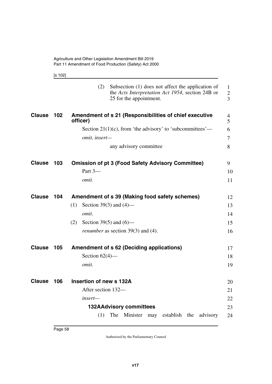|--|--|

|               |     | (2)<br>Subsection (1) does not affect the application of<br>the Acts Interpretation Act 1954, section 24B or<br>25 for the appointment. | 1<br>$\overline{2}$<br>$\overline{3}$ |
|---------------|-----|-----------------------------------------------------------------------------------------------------------------------------------------|---------------------------------------|
| <b>Clause</b> | 102 | Amendment of s 21 (Responsibilities of chief executive<br>officer)                                                                      | 4<br>$\overline{5}$                   |
|               |     | Section $21(1)(c)$ , from 'the advisory' to 'subcommittees'—                                                                            | 6                                     |
|               |     | omit, insert-                                                                                                                           | $\tau$                                |
|               |     | any advisory committee                                                                                                                  | 8                                     |
| <b>Clause</b> | 103 | <b>Omission of pt 3 (Food Safety Advisory Committee)</b>                                                                                | 9                                     |
|               |     | Part 3-                                                                                                                                 | 10                                    |
|               |     | omit.                                                                                                                                   | 11                                    |
| <b>Clause</b> | 104 | Amendment of s 39 (Making food safety schemes)                                                                                          | 12                                    |
|               |     | Section 39(3) and $(4)$ —<br>(1)                                                                                                        | 13                                    |
|               |     | omit.                                                                                                                                   | 14                                    |
|               |     | Section 39(5) and $(6)$ —<br>(2)                                                                                                        | 15                                    |
|               |     | <i>renumber</i> as section 39(3) and (4).                                                                                               | 16                                    |
| <b>Clause</b> | 105 | <b>Amendment of s 62 (Deciding applications)</b>                                                                                        | 17                                    |
|               |     | Section $62(4)$ —                                                                                                                       | 18                                    |
|               |     | omit.                                                                                                                                   | 19                                    |
| <b>Clause</b> | 106 | Insertion of new s 132A                                                                                                                 | 20                                    |
|               |     | After section 132-                                                                                                                      | 21                                    |
|               |     | insert—                                                                                                                                 | 22                                    |
|               |     | <b>132AAdvisory committees</b>                                                                                                          | 23                                    |
|               |     | The Minister<br>establish<br>the<br>(1)<br>may<br>advisory                                                                              | 24                                    |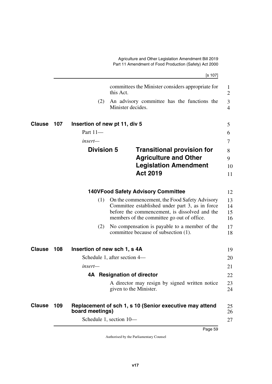[s 107] committees the Minister considers appropriate for this Act. (2) An advisory committee has the functions the Minister decides. **107 Insertion of new pt 11, div 5 Clause** 5 Part 11 *insert—* **Division 5 Transitional provision for Agriculture and Other Legislation Amendment Act 2019 140VFood Safety Advisory Committee** (1) On the commencement, the Food Safety Advisory Committee established under part 3, as in force before the commencement, is dissolved and the members of the committee go out of office. (2) No compensation is payable to a member of the committee because of subsection (1). 1 2 3 4 6 7 8 9 10 11 12 13 14 15 16 17 18

| <b>Clause</b> | 108 | Insertion of new sch 1, s 4A                                               | 19       |
|---------------|-----|----------------------------------------------------------------------------|----------|
|               |     | Schedule 1, after section 4—                                               | 20       |
|               |     | $insert-$                                                                  | 21       |
|               |     | <b>Resignation of director</b><br>4A                                       | 22       |
|               |     | A director may resign by signed written notice<br>given to the Minister.   | 23<br>24 |
| <b>Clause</b> | 109 | Replacement of sch 1, s 10 (Senior executive may attend<br>board meetings) | 25<br>26 |
|               |     | Schedule 1, section 10-                                                    | 27       |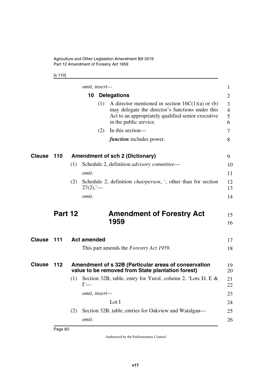[s 110]

|                  |         |     | omit, insert-      |     |                                                                                                                                                                                        | $\mathbf{1}$                  |
|------------------|---------|-----|--------------------|-----|----------------------------------------------------------------------------------------------------------------------------------------------------------------------------------------|-------------------------------|
|                  |         |     | 10                 |     | <b>Delegations</b>                                                                                                                                                                     | $\overline{2}$                |
|                  |         |     |                    | (1) | A director mentioned in section $16C(1)(a)$ or (b)<br>may delegate the director's functions under this<br>Act to an appropriately qualified senior executive<br>in the public service. | 3<br>$\overline{4}$<br>5<br>6 |
|                  |         |     |                    | (2) | In this section-                                                                                                                                                                       | 7                             |
|                  |         |     |                    |     | <i>function</i> includes power.                                                                                                                                                        | 8                             |
| Clause           | 110     |     |                    |     | <b>Amendment of sch 2 (Dictionary)</b>                                                                                                                                                 | 9                             |
|                  |         | (1) |                    |     | Schedule 2, definition <i>advisory committee</i> —                                                                                                                                     | 10                            |
|                  |         |     | omit.              |     |                                                                                                                                                                                        | 11                            |
|                  |         | (2) | $27(2)$ ; —        |     | Schedule 2, definition <i>chairperson</i> , ', other than for section                                                                                                                  | 12<br>13                      |
|                  |         |     | omit.              |     |                                                                                                                                                                                        | 14                            |
|                  |         |     |                    |     |                                                                                                                                                                                        |                               |
|                  | Part 12 |     |                    |     | <b>Amendment of Forestry Act</b><br>1959                                                                                                                                               | 15<br>16                      |
|                  | 111     |     | <b>Act amended</b> |     |                                                                                                                                                                                        | 17                            |
|                  |         |     |                    |     | This part amends the <i>Forestry Act 1959</i> .                                                                                                                                        | 18                            |
|                  | 112     |     |                    |     | Amendment of s 32B (Particular areas of conservation                                                                                                                                   | 19<br>20                      |
|                  |         | (1) | $\Gamma$ —         |     | value to be removed from State plantation forest)<br>Section 32B, table, entry for Yurol, column 2, 'Lots D, E &                                                                       | 21<br>22                      |
|                  |         |     | omit, insert-      |     |                                                                                                                                                                                        | 23                            |
| Clause<br>Clause |         |     |                    |     | Lot I                                                                                                                                                                                  | 24                            |
|                  |         | (2) |                    |     | Section 32B, table, entries for Oakview and Watalgan—                                                                                                                                  | 25                            |
|                  |         |     | omit.              |     |                                                                                                                                                                                        | 26                            |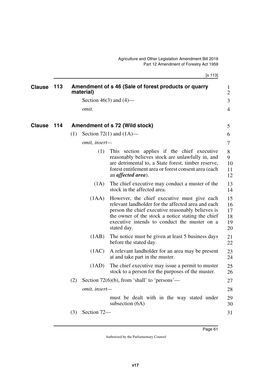[s 113]

| <b>Clause</b> | 113 |     | material)     | Amendment of s 46 (Sale of forest products or quarry                                                                                                                                                                                                                       | $\mathbf{1}$<br>$\overline{2}$   |
|---------------|-----|-----|---------------|----------------------------------------------------------------------------------------------------------------------------------------------------------------------------------------------------------------------------------------------------------------------------|----------------------------------|
|               |     |     |               | Section 46(3) and $(4)$ —                                                                                                                                                                                                                                                  | $\overline{3}$                   |
|               |     |     | omit.         |                                                                                                                                                                                                                                                                            | $\overline{4}$                   |
| Clause        | 114 |     |               | Amendment of s 72 (Wild stock)                                                                                                                                                                                                                                             | 5                                |
|               |     | (1) |               | Section 72(1) and $(1A)$ —                                                                                                                                                                                                                                                 | 6                                |
|               |     |     | omit, insert- |                                                                                                                                                                                                                                                                            | 7                                |
|               |     |     | (1)           | This section applies if the chief executive<br>reasonably believes stock are unlawfully in, and<br>are detrimental to, a State forest, timber reserve,<br>forest entitlement area or forest consent area (each<br>an <i>affected</i> area).                                | 8<br>9<br>10<br>11<br>12         |
|               |     |     | (1A)          | The chief executive may conduct a muster of the<br>stock in the affected area.                                                                                                                                                                                             | 13<br>14                         |
|               |     |     | (1AA)         | However, the chief executive must give each<br>relevant landholder for the affected area and each<br>person the chief executive reasonably believes is<br>the owner of the stock a notice stating the chief<br>executive intends to conduct the muster on a<br>stated day. | 15<br>16<br>17<br>18<br>19<br>20 |
|               |     |     | (1AB)         | The notice must be given at least 5 business days<br>before the stated day.                                                                                                                                                                                                | 21<br>22                         |
|               |     |     | (1AC)         | A relevant landholder for an area may be present<br>at and take part in the muster.                                                                                                                                                                                        | 23<br>24                         |
|               |     |     | (1AD)         | The chief executive may issue a permit to muster<br>stock to a person for the purposes of the muster.                                                                                                                                                                      | 25<br>26                         |
|               |     | (2) |               | Section $72(6)(b)$ , from 'shall' to 'persons'—                                                                                                                                                                                                                            | 27                               |
|               |     |     | omit, insert- |                                                                                                                                                                                                                                                                            | 28                               |
|               |     |     |               | must be dealt with in the way stated under<br>subsection $(6A)$                                                                                                                                                                                                            | 29<br>30                         |
|               |     | (3) | Section 72-   |                                                                                                                                                                                                                                                                            | 31                               |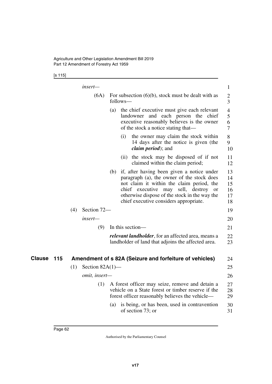[s 115]

|               |     |     | insert—            |     |          |                                                                                                                                                                                                                                                                             | $\mathbf{1}$                               |
|---------------|-----|-----|--------------------|-----|----------|-----------------------------------------------------------------------------------------------------------------------------------------------------------------------------------------------------------------------------------------------------------------------------|--------------------------------------------|
|               |     |     | (6A)               |     | follows— | For subsection $(6)(b)$ , stock must be dealt with as                                                                                                                                                                                                                       | $\mathbf{2}$<br>3                          |
|               |     |     |                    | (a) |          | the chief executive must give each relevant<br>landowner and each person the chief<br>executive reasonably believes is the owner<br>of the stock a notice stating that—                                                                                                     | $\overline{4}$<br>5<br>6<br>$\overline{7}$ |
|               |     |     |                    |     | (i)      | the owner may claim the stock within<br>14 days after the notice is given (the<br><i>claim period</i> ); and                                                                                                                                                                | 8<br>9<br>10                               |
|               |     |     |                    |     |          | (ii) the stock may be disposed of if not<br>claimed within the claim period;                                                                                                                                                                                                | 11<br>12                                   |
|               |     |     |                    | (b) |          | if, after having been given a notice under<br>paragraph (a), the owner of the stock does<br>not claim it within the claim period, the<br>chief executive may sell, destroy<br>or<br>otherwise dispose of the stock in the way the<br>chief executive considers appropriate. | 13<br>14<br>15<br>16<br>17<br>18           |
|               |     | (4) | Section 72-        |     |          |                                                                                                                                                                                                                                                                             | 19                                         |
|               |     |     | insert—            |     |          |                                                                                                                                                                                                                                                                             | 20                                         |
|               |     |     | (9)                |     |          | In this section-                                                                                                                                                                                                                                                            | 21                                         |
|               |     |     |                    |     |          | <i>relevant landholder</i> , for an affected area, means a<br>landholder of land that adjoins the affected area.                                                                                                                                                            | 22<br>23                                   |
| <b>Clause</b> | 115 |     |                    |     |          | Amendment of s 82A (Seizure and forfeiture of vehicles)                                                                                                                                                                                                                     | 24                                         |
|               |     | (1) | Section $82A(1)$ — |     |          |                                                                                                                                                                                                                                                                             | 25                                         |
|               |     |     | omit, insert-      |     |          |                                                                                                                                                                                                                                                                             | 26                                         |
|               |     |     | (1)                |     |          | A forest officer may seize, remove and detain a<br>vehicle on a State forest or timber reserve if the<br>forest officer reasonably believes the vehicle—                                                                                                                    | 27<br>28<br>29                             |
|               |     |     |                    | (a) |          | is being, or has been, used in contravention<br>of section 73; or                                                                                                                                                                                                           | 30<br>31                                   |
|               |     |     |                    |     |          |                                                                                                                                                                                                                                                                             |                                            |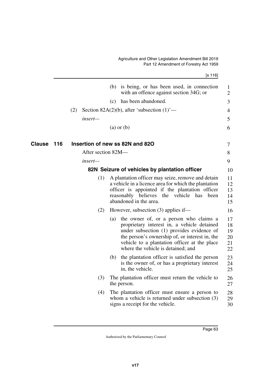[s 116]

|                      |                    | (b) is being, or has been used, in connection<br>with an offence against section 34G; or                                                                                                                                                                                          | 1<br>$\overline{2}$              |
|----------------------|--------------------|-----------------------------------------------------------------------------------------------------------------------------------------------------------------------------------------------------------------------------------------------------------------------------------|----------------------------------|
|                      |                    | has been abandoned.<br>(c)                                                                                                                                                                                                                                                        | 3                                |
|                      | (2)                | Section 82A(2)(b), after 'subsection $(1)$ '—                                                                                                                                                                                                                                     | 4                                |
|                      | insert-            |                                                                                                                                                                                                                                                                                   | 5                                |
|                      |                    | $(a)$ or $(b)$                                                                                                                                                                                                                                                                    | 6                                |
| <b>Clause</b><br>116 |                    | Insertion of new ss 82N and 82O                                                                                                                                                                                                                                                   | 7                                |
|                      | After section 82M- |                                                                                                                                                                                                                                                                                   | 8                                |
|                      | insert—            |                                                                                                                                                                                                                                                                                   | 9                                |
|                      |                    | 82N Seizure of vehicles by plantation officer                                                                                                                                                                                                                                     | 10                               |
|                      | (1)                | A plantation officer may seize, remove and detain<br>a vehicle in a licence area for which the plantation<br>officer is appointed if the plantation officer<br>reasonably believes the vehicle<br>has<br>been<br>abandoned in the area.                                           | 11<br>12<br>13<br>14<br>15       |
|                      | (2)                | However, subsection (3) applies if—                                                                                                                                                                                                                                               | 16                               |
|                      |                    | the owner of, or a person who claims a<br>(a)<br>proprietary interest in, a vehicle detained<br>under subsection (1) provides evidence of<br>the person's ownership of, or interest in, the<br>vehicle to a plantation officer at the place<br>where the vehicle is detained; and | 17<br>18<br>19<br>20<br>21<br>22 |
|                      |                    | the plantation officer is satisfied the person<br>(b)<br>is the owner of, or has a proprietary interest<br>in, the vehicle.                                                                                                                                                       | 23<br>24<br>25                   |
|                      | (3)                | The plantation officer must return the vehicle to<br>the person.                                                                                                                                                                                                                  | 26<br>27                         |
|                      | (4)                | The plantation officer must ensure a person to<br>whom a vehicle is returned under subsection $(3)$<br>signs a receipt for the vehicle.                                                                                                                                           | 28<br>29<br>30                   |
|                      |                    |                                                                                                                                                                                                                                                                                   |                                  |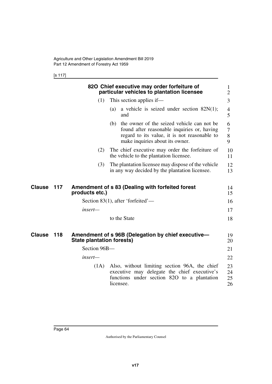[s 117]

|               |     |                           |           | 820 Chief executive may order forfeiture of<br>particular vehicles to plantation licensee                                                                                        | $\bf{l}$<br>2        |
|---------------|-----|---------------------------|-----------|----------------------------------------------------------------------------------------------------------------------------------------------------------------------------------|----------------------|
|               |     | (1)                       |           | This section applies if—                                                                                                                                                         | 3                    |
|               |     |                           | (a)       | a vehicle is seized under section $82N(1)$ ;<br>and                                                                                                                              | 4<br>5               |
|               |     |                           |           | (b) the owner of the seized vehicle can not be<br>found after reasonable inquiries or, having<br>regard to its value, it is not reasonable to<br>make inquiries about its owner. | 6<br>7<br>8<br>9     |
|               |     | (2)                       |           | The chief executive may order the forfeiture of<br>the vehicle to the plantation licensee.                                                                                       | 10<br>11             |
|               |     | (3)                       |           | The plantation licensee may dispose of the vehicle<br>in any way decided by the plantation licensee.                                                                             | 12<br>13             |
| Clause        | 117 | products etc.)            |           | Amendment of s 83 (Dealing with forfeited forest                                                                                                                                 | 14<br>15             |
|               |     |                           |           | Section 83(1), after 'forfeited'—                                                                                                                                                | 16                   |
|               |     | insert—                   |           |                                                                                                                                                                                  | 17                   |
|               |     |                           |           | to the State                                                                                                                                                                     | 18                   |
| <b>Clause</b> | 118 | State plantation forests) |           | Amendment of s 96B (Delegation by chief executive-                                                                                                                               | 19<br>20             |
|               |     | Section 96B-              |           |                                                                                                                                                                                  | 21                   |
|               |     | insert—                   |           |                                                                                                                                                                                  | 22                   |
|               |     | (1A)                      | licensee. | Also, without limiting section 96A, the chief<br>executive may delegate the chief executive's<br>functions under section 820 to a plantation                                     | 23<br>24<br>25<br>26 |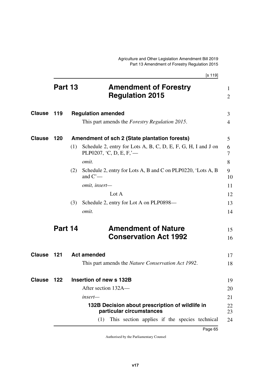|               |         |     | [s 119]                                                                                    |                                |
|---------------|---------|-----|--------------------------------------------------------------------------------------------|--------------------------------|
|               | Part 13 |     | <b>Amendment of Forestry</b><br><b>Regulation 2015</b>                                     | $\mathbf{1}$<br>$\overline{2}$ |
| <b>Clause</b> | 119     |     | <b>Regulation amended</b>                                                                  | 3                              |
|               |         |     | This part amends the <i>Forestry Regulation 2015</i> .                                     | $\overline{4}$                 |
| <b>Clause</b> | 120     |     | Amendment of sch 2 (State plantation forests)                                              | 5                              |
|               |         | (1) | Schedule 2, entry for Lots A, B, C, D, E, F, G, H, I and J on<br>PLP0207, $C, D, E, F$ , — | 6<br>7                         |
|               |         |     | omit.                                                                                      | 8                              |
|               |         | (2) | Schedule 2, entry for Lots A, B and C on PLP0220, 'Lots A, B<br>and $C'$ —                 | 9<br>10                        |
|               |         |     | omit, insert-                                                                              | 11                             |
|               |         |     | Lot $A$                                                                                    | 12                             |
|               |         | (3) | Schedule 2, entry for Lot A on PLP0898—                                                    | 13                             |
|               |         |     | omit.                                                                                      | 14                             |
|               | Part 14 |     | <b>Amendment of Nature</b>                                                                 | 15                             |
|               |         |     | <b>Conservation Act 1992</b>                                                               | 16                             |
| <b>Clause</b> | 121     |     | <b>Act amended</b>                                                                         | 17                             |
|               |         |     | This part amends the <i>Nature Conservation Act 1992</i> .                                 | 18                             |
| <b>Clause</b> | 122     |     | Insertion of new s 132B                                                                    | 19                             |
|               |         |     | After section 132A-                                                                        | 20                             |
|               |         |     | insert-                                                                                    | 21                             |
|               |         |     | 132B Decision about prescription of wildlife in<br>particular circumstances                | 22<br>23                       |
|               |         |     | This section applies if the species technical<br>(1)                                       | 24                             |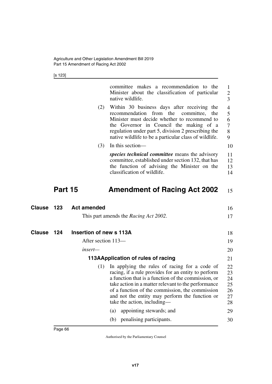[s 123]

|               |         |                         | committee makes a recommendation to the<br>Minister about the classification of particular<br>native wildlife.                                                                                                                                                                                                                                         | $\mathbf{1}$<br>$\overline{2}$<br>3    |
|---------------|---------|-------------------------|--------------------------------------------------------------------------------------------------------------------------------------------------------------------------------------------------------------------------------------------------------------------------------------------------------------------------------------------------------|----------------------------------------|
|               |         | (2)                     | Within 30 business days after receiving the<br>recommendation from the committee, the<br>Minister must decide whether to recommend to<br>the Governor in Council the making of a<br>regulation under part 5, division 2 prescribing the<br>native wildlife to be a particular class of wildlife.                                                       | 4<br>5<br>6<br>7<br>8<br>9             |
|               |         | (3)                     | In this section—                                                                                                                                                                                                                                                                                                                                       | 10                                     |
|               |         |                         | <i>species technical committee</i> means the advisory<br>committee, established under section 132, that has<br>the function of advising the Minister on the<br>classification of wildlife.                                                                                                                                                             | 11<br>12<br>13<br>14                   |
|               | Part 15 |                         | <b>Amendment of Racing Act 2002</b>                                                                                                                                                                                                                                                                                                                    | 15                                     |
| <b>Clause</b> | 123     | <b>Act amended</b>      |                                                                                                                                                                                                                                                                                                                                                        | 16                                     |
|               |         |                         | This part amends the <i>Racing Act 2002</i> .                                                                                                                                                                                                                                                                                                          | 17                                     |
| Clause        | 124     | Insertion of new s 113A |                                                                                                                                                                                                                                                                                                                                                        | 18                                     |
|               |         | After section 113—      |                                                                                                                                                                                                                                                                                                                                                        | 19                                     |
|               |         | insert—                 |                                                                                                                                                                                                                                                                                                                                                        | 20                                     |
|               |         |                         | 113AApplication of rules of racing                                                                                                                                                                                                                                                                                                                     | 21                                     |
|               |         | (1)                     | In applying the rules of racing for a code of<br>racing, if a rule provides for an entity to perform<br>a function that is a function of the commission, or<br>take action in a matter relevant to the performance<br>of a function of the commission, the commission<br>and not the entity may perform the function or<br>take the action, including— | 22<br>23<br>24<br>25<br>26<br>27<br>28 |
|               |         |                         | appointing stewards; and<br>(a)                                                                                                                                                                                                                                                                                                                        | 29                                     |
|               |         |                         | penalising participants.<br>(b)                                                                                                                                                                                                                                                                                                                        | 30                                     |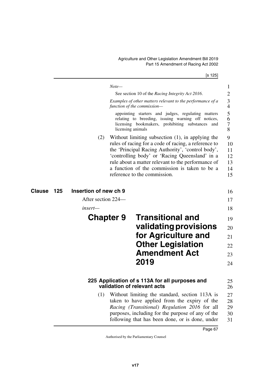[s 125]

|                      |                       | $Note-$                                                                                                                                                                                                                                                                                                                                                   | 1                                     |
|----------------------|-----------------------|-----------------------------------------------------------------------------------------------------------------------------------------------------------------------------------------------------------------------------------------------------------------------------------------------------------------------------------------------------------|---------------------------------------|
|                      |                       | See section 10 of the Racing Integrity Act 2016.<br>Examples of other matters relevant to the performance of a<br>function of the commission-                                                                                                                                                                                                             | $\overline{2}$<br>3<br>4              |
|                      |                       | appointing starters and judges, regulating matters<br>relating to breeding, issuing warning off notices,<br>licensing bookmakers, prohibiting substances and<br>licensing animals                                                                                                                                                                         | 5<br>6<br>7<br>8                      |
|                      | (2)                   | Without limiting subsection $(1)$ , in applying the<br>rules of racing for a code of racing, a reference to<br>the 'Principal Racing Authority', 'control body',<br>'controlling body' or 'Racing Queensland' in a<br>rule about a matter relevant to the performance of<br>a function of the commission is taken to be a<br>reference to the commission. | 9<br>10<br>11<br>12<br>13<br>14<br>15 |
| <b>Clause</b><br>125 | Insertion of new ch 9 |                                                                                                                                                                                                                                                                                                                                                           | 16                                    |
|                      | After section 224—    |                                                                                                                                                                                                                                                                                                                                                           | 17                                    |
|                      | insert—               |                                                                                                                                                                                                                                                                                                                                                           | 18                                    |
|                      | <b>Chapter 9</b>      | <b>Transitional and</b>                                                                                                                                                                                                                                                                                                                                   | 19                                    |
|                      |                       | validating provisions                                                                                                                                                                                                                                                                                                                                     | 20                                    |
|                      |                       | for Agriculture and                                                                                                                                                                                                                                                                                                                                       | 21                                    |
|                      |                       | <b>Other Legislation</b>                                                                                                                                                                                                                                                                                                                                  | 22                                    |
|                      |                       | <b>Amendment Act</b>                                                                                                                                                                                                                                                                                                                                      | 23                                    |
|                      |                       | 2019                                                                                                                                                                                                                                                                                                                                                      | 24                                    |
|                      |                       | 225 Application of s 113A for all purposes and<br>validation of relevant acts                                                                                                                                                                                                                                                                             | 25<br>26                              |
|                      | (1)                   | Without limiting the standard, section 113A is<br>taken to have applied from the expiry of the<br>Racing (Transitional) Regulation 2016 for all<br>purposes, including for the purpose of any of the<br>following that has been done, or is done, under                                                                                                   | 27<br>28<br>29<br>30<br>31            |
|                      |                       | Page 67                                                                                                                                                                                                                                                                                                                                                   |                                       |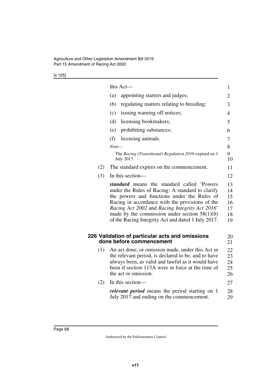|--|

|     | this Act-                                                                                                                                                                                                                                                                                                                                                   | 1                          |  |  |  |  |
|-----|-------------------------------------------------------------------------------------------------------------------------------------------------------------------------------------------------------------------------------------------------------------------------------------------------------------------------------------------------------------|----------------------------|--|--|--|--|
|     | (a)<br>appointing starters and judges;                                                                                                                                                                                                                                                                                                                      | 2                          |  |  |  |  |
|     | (b)<br>regulating matters relating to breeding;                                                                                                                                                                                                                                                                                                             | 3                          |  |  |  |  |
|     | issuing warning off notices;<br>(c)                                                                                                                                                                                                                                                                                                                         | 4                          |  |  |  |  |
|     | (d)<br>licensing bookmakers;                                                                                                                                                                                                                                                                                                                                | 5                          |  |  |  |  |
|     | prohibiting substances;<br>(e)                                                                                                                                                                                                                                                                                                                              | 6                          |  |  |  |  |
|     | (f)<br>licensing animals.                                                                                                                                                                                                                                                                                                                                   | 7                          |  |  |  |  |
|     | $Note-$                                                                                                                                                                                                                                                                                                                                                     | 8                          |  |  |  |  |
|     | The Racing (Transitional) Regulation 2016 expired on 1<br>July 2017.                                                                                                                                                                                                                                                                                        | 9<br>10                    |  |  |  |  |
| (2) | The standard expires on the commencement.                                                                                                                                                                                                                                                                                                                   | 11                         |  |  |  |  |
| (3) | In this section-                                                                                                                                                                                                                                                                                                                                            | 12                         |  |  |  |  |
|     | standard means the standard called 'Powers<br>under the Rules of Racing: A standard to clarify<br>the powers and functions under the Rules of<br>Racing in accordance with the provisions of the<br>Racing Act 2002 and Racing Integrity Act 2016'<br>made by the commission under section $58(1)(b)$<br>of the Racing Integrity Act and dated 1 July 2017. |                            |  |  |  |  |
|     | 226 Validation of particular acts and omissions<br>done before commencement                                                                                                                                                                                                                                                                                 | 20<br>21                   |  |  |  |  |
| (1) | An act done, or omission made, under this Act in<br>the relevant period, is declared to be, and to have<br>always been, as valid and lawful as it would have<br>been if section 113A were in force at the time of<br>the act or omission.                                                                                                                   | 22<br>23<br>24<br>25<br>26 |  |  |  |  |
| (2) | In this section-                                                                                                                                                                                                                                                                                                                                            | 27                         |  |  |  |  |
|     | <i>relevant period</i> means the period starting on 1<br>July 2017 and ending on the commencement.                                                                                                                                                                                                                                                          | 28<br>29                   |  |  |  |  |
|     |                                                                                                                                                                                                                                                                                                                                                             |                            |  |  |  |  |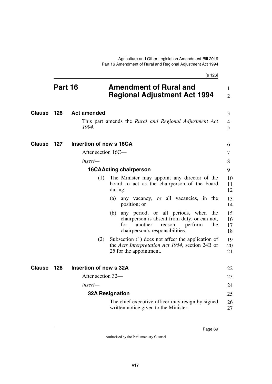|        |         | [s 126]                |                                                                                                                                                                               |                      |  |  |  |
|--------|---------|------------------------|-------------------------------------------------------------------------------------------------------------------------------------------------------------------------------|----------------------|--|--|--|
|        | Part 16 |                        | <b>Amendment of Rural and</b><br><b>Regional Adjustment Act 1994</b>                                                                                                          |                      |  |  |  |
| Clause | 126     | <b>Act amended</b>     |                                                                                                                                                                               | 3                    |  |  |  |
|        |         | 1994.                  | This part amends the Rural and Regional Adjustment Act                                                                                                                        | 4<br>5               |  |  |  |
| Clause | 127     |                        | Insertion of new s 16CA                                                                                                                                                       |                      |  |  |  |
|        |         | After section 16C—     |                                                                                                                                                                               | 7                    |  |  |  |
|        |         | insert—                |                                                                                                                                                                               | 8                    |  |  |  |
|        |         |                        | <b>16CAActing chairperson</b>                                                                                                                                                 | 9                    |  |  |  |
|        |         | (1)                    | The Minister may appoint any director of the<br>board to act as the chairperson of the board<br>$during$ —                                                                    | 10<br>11<br>12       |  |  |  |
|        |         |                        | any vacancy, or all vacancies, in the<br>(a)<br>position; or                                                                                                                  | 13<br>14             |  |  |  |
|        |         |                        | any period, or all periods, when the<br>(b)<br>chairperson is absent from duty, or can not,<br>another<br>perform<br>for<br>reason,<br>the<br>chairperson's responsibilities. | 15<br>16<br>17<br>18 |  |  |  |
|        |         | (2)                    | Subsection (1) does not affect the application of<br>the <i>Acts Interpretation Act 1954</i> , section 24B or<br>25 for the appointment.                                      | 19<br>20<br>21       |  |  |  |
| Clause | 128     | Insertion of new s 32A |                                                                                                                                                                               | 22                   |  |  |  |
|        |         | After section 32—      |                                                                                                                                                                               | 23                   |  |  |  |
|        |         | insert-                |                                                                                                                                                                               | 24                   |  |  |  |
|        |         |                        | <b>32A Resignation</b>                                                                                                                                                        | 25                   |  |  |  |
|        |         |                        | The chief executive officer may resign by signed<br>written notice given to the Minister.                                                                                     | 26<br>27             |  |  |  |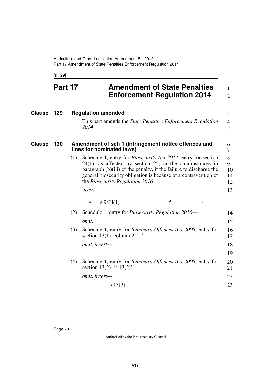[s 129]

## **Part 17 Amendment of State Penalties Enforcement Regulation 2014**

1 2

| <b>Clause</b> | 129 | <b>Regulation amended</b> |                                                                                                                                                                                                                                                                                                                    |                                                                                               |  |   | 3                        |                     |
|---------------|-----|---------------------------|--------------------------------------------------------------------------------------------------------------------------------------------------------------------------------------------------------------------------------------------------------------------------------------------------------------------|-----------------------------------------------------------------------------------------------|--|---|--------------------------|---------------------|
|               |     |                           | 2014.                                                                                                                                                                                                                                                                                                              | This part amends the <i>State Penalties Enforcement Regulation</i>                            |  |   |                          | $\overline{4}$<br>5 |
| <b>Clause</b> | 130 |                           | Amendment of sch 1 (Infringement notice offences and<br>fines for nominated laws)                                                                                                                                                                                                                                  |                                                                                               |  |   |                          | 6<br>7              |
|               |     | (1)                       | Schedule 1, entry for <i>Biosecurity Act 2014</i> , entry for section<br>$24(1)$ , as affected by section 25, in the circumstances in<br>paragraph (b)(iii) of the penalty, if the failure to discharge the<br>general biosecurity obligation is because of a contravention of<br>the Biosecurity Regulation 2016— |                                                                                               |  |   | 8<br>9<br>10<br>11<br>12 |                     |
|               |     |                           | insert-                                                                                                                                                                                                                                                                                                            |                                                                                               |  |   |                          | 13                  |
|               |     |                           |                                                                                                                                                                                                                                                                                                                    | $s\,94H(1)$                                                                                   |  | 5 |                          |                     |
|               |     | (2)                       |                                                                                                                                                                                                                                                                                                                    | Schedule 1, entry for <i>Biosecurity Regulation 2016</i> —                                    |  |   |                          | 14                  |
|               |     |                           | omit.                                                                                                                                                                                                                                                                                                              |                                                                                               |  |   |                          |                     |
|               |     | (3)                       |                                                                                                                                                                                                                                                                                                                    | Schedule 1, entry for Summary Offences Act 2005, entry for<br>section 13(1), column 2, $1'$ — |  |   |                          | 16<br>17            |
|               |     |                           |                                                                                                                                                                                                                                                                                                                    | omit, insert-                                                                                 |  |   |                          | 18                  |
|               |     |                           |                                                                                                                                                                                                                                                                                                                    | $\overline{2}$                                                                                |  |   |                          | 19                  |
|               |     | (4)                       |                                                                                                                                                                                                                                                                                                                    | Schedule 1, entry for Summary Offences Act 2005, entry for<br>section 13(2), 's $13(2)$ '—    |  |   |                          | 20<br>21            |
|               |     |                           |                                                                                                                                                                                                                                                                                                                    | omit, insert-                                                                                 |  |   |                          | 22                  |
|               |     |                           |                                                                                                                                                                                                                                                                                                                    | $s\ 13(3)$                                                                                    |  |   |                          | 23                  |
|               |     |                           |                                                                                                                                                                                                                                                                                                                    |                                                                                               |  |   |                          |                     |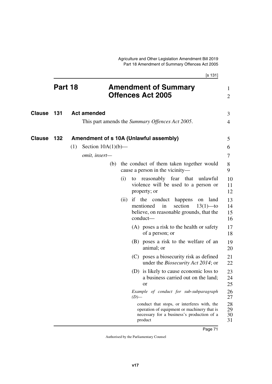|               |         |                              |      | [s 131]                                                                                                                                             |                                |
|---------------|---------|------------------------------|------|-----------------------------------------------------------------------------------------------------------------------------------------------------|--------------------------------|
|               | Part 18 |                              |      | <b>Amendment of Summary</b><br><b>Offences Act 2005</b>                                                                                             | $\mathbf{1}$<br>$\overline{2}$ |
| <b>Clause</b> | 131     | <b>Act amended</b>           |      |                                                                                                                                                     | 3                              |
|               |         |                              |      | This part amends the Summary Offences Act 2005.                                                                                                     | 4                              |
| <b>Clause</b> | 132     | Section $10A(1)(b)$ —<br>(1) |      | Amendment of s 10A (Unlawful assembly)                                                                                                              | 5<br>6                         |
|               |         | omit, insert-                |      |                                                                                                                                                     | 7                              |
|               |         |                              |      | (b) the conduct of them taken together would<br>cause a person in the vicinity—                                                                     | 8<br>9                         |
|               |         |                              | (i)  | reasonably fear that unlawful<br>to<br>violence will be used to a person or<br>property; or                                                         | 10<br>11<br>12                 |
|               |         |                              | (ii) | if the conduct<br>happens<br>land<br>on<br>mentioned<br>in<br>section<br>$13(1)$ —to<br>believe, on reasonable grounds, that the<br>$conduct$ —     | 13<br>14<br>15<br>16           |
|               |         |                              |      | (A) poses a risk to the health or safety<br>of a person; or                                                                                         | 17<br>18                       |
|               |         |                              |      | (B) poses a risk to the welfare of an<br>animal; or                                                                                                 | 19<br>20                       |
|               |         |                              |      | (C) poses a biosecurity risk as defined<br>under the <i>Biosecurity Act 2014</i> ; or                                                               | 21<br>22                       |
|               |         |                              |      | (D) is likely to cause economic loss to<br>a business carried out on the land;<br><b>or</b>                                                         | 23<br>24<br>25                 |
|               |         |                              |      | Example of conduct for sub-subparagraph<br>$(D)$ —                                                                                                  | 26<br>27                       |
|               |         |                              |      | conduct that stops, or interferes with, the<br>operation of equipment or machinery that is<br>necessary for a business's production of a<br>product | 28<br>29<br>30<br>31           |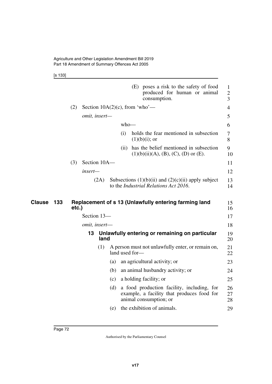[s 133]

|                      |       |               |                | (E) poses a risk to the safety of food<br>produced for human or animal<br>consumption.                             | $\mathbf{1}$<br>$\mathbf{2}$<br>3 |
|----------------------|-------|---------------|----------------|--------------------------------------------------------------------------------------------------------------------|-----------------------------------|
|                      | (2)   |               |                | Section $10A(2)(c)$ , from 'who'—                                                                                  | 4                                 |
|                      |       | omit, insert- |                |                                                                                                                    | 5                                 |
|                      |       |               |                | $who$ —                                                                                                            | 6                                 |
|                      |       |               | (i)            | holds the fear mentioned in subsection<br>$(1)(b)(i)$ ; or                                                         | 7<br>8                            |
|                      |       |               | (11)           | has the belief mentioned in subsection<br>$(1)(b)(ii)(A), (B), (C), (D)$ or $(E)$ .                                | 9<br>10                           |
|                      | (3)   | Section 10A-  |                |                                                                                                                    | 11                                |
|                      |       | insert—       |                |                                                                                                                    | 12                                |
|                      |       | (2A)          |                | Subsections $(1)(b)(ii)$ and $(2)(c)(ii)$ apply subject<br>to the <i>Industrial Relations Act 2016</i> .           | 13<br>14                          |
|                      |       |               |                |                                                                                                                    |                                   |
| <b>Clause</b><br>133 | etc.) |               |                | Replacement of s 13 (Unlawfully entering farming land                                                              | 15<br>16                          |
|                      |       | Section 13-   |                |                                                                                                                    | 17                                |
|                      |       | omit, insert- |                |                                                                                                                    | 18                                |
|                      |       | 13<br>land    |                | Unlawfully entering or remaining on particular                                                                     | 19<br>20                          |
|                      |       | (1)           | land used for- | A person must not unlawfully enter, or remain on,                                                                  | 21<br>22                          |
|                      |       |               | (a)            | an agricultural activity; or                                                                                       | 23                                |
|                      |       |               | (b)            | an animal husbandry activity; or                                                                                   | 24                                |
|                      |       |               | (c)            | a holding facility; or                                                                                             | 25                                |
|                      |       |               | (d)            | a food production facility, including, for<br>example, a facility that produces food for<br>animal consumption; or | 26<br>27<br>28                    |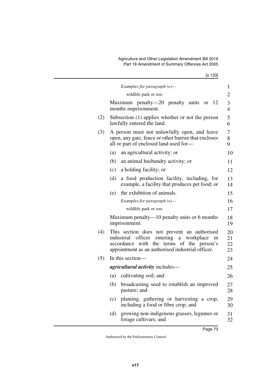[s 133]

|     | Examples for paragraph $(e)$ —                                                                                                                                                                            | 1                    |
|-----|-----------------------------------------------------------------------------------------------------------------------------------------------------------------------------------------------------------|----------------------|
|     | wildlife park or zoo                                                                                                                                                                                      | $\overline{2}$       |
|     | Maximum penalty—20 penalty units or $12$<br>months imprisonment.                                                                                                                                          | 3<br>$\overline{4}$  |
| (2) | Subsection (1) applies whether or not the person<br>lawfully entered the land.                                                                                                                            | 5<br>6               |
| (3) | A person must not unlawfully open, and leave<br>open, any gate, fence or other barrier that encloses<br>all or part of enclosed land used for-                                                            | 7<br>8<br>9          |
|     | (a)<br>an agricultural activity; or                                                                                                                                                                       | 10                   |
|     | (b)<br>an animal husbandry activity; or                                                                                                                                                                   | 11                   |
|     | a holding facility; or<br>(c)                                                                                                                                                                             | 12                   |
|     | a food production facility, including, for<br>(d)<br>example, a facility that produces pet food; or                                                                                                       | 13<br>14             |
|     | the exhibition of animals.<br>(e)                                                                                                                                                                         | 15                   |
|     | Examples for paragraph $(e)$ —                                                                                                                                                                            | 16                   |
|     | wildlife park or zoo                                                                                                                                                                                      | 17                   |
|     | Maximum penalty— $10$ penalty units or 6 months<br>imprisonment.                                                                                                                                          | 18<br>19             |
| (4) | This section does not prevent an authorised<br>entering<br>industrial<br>officer<br>workplace<br>a<br>in<br>accordance with the terms of the person's<br>appointment as an authorised industrial officer. | 20<br>21<br>22<br>23 |
| (5) | In this section—                                                                                                                                                                                          | 24                   |
|     | <i>agricultural activity</i> includes—                                                                                                                                                                    | 25                   |
|     | (a) cultivating soil; and                                                                                                                                                                                 | 26                   |
|     | (b) broadcasting seed to establish an improved<br>pasture; and                                                                                                                                            | 27<br>28             |
|     | planting, gathering or harvesting a crop,<br>(c)<br>including a food or fibre crop; and                                                                                                                   | 29<br>30             |
|     | growing non-indigenous grasses, legumes or<br>(d)<br>forage cultivars; and                                                                                                                                | 31<br>32             |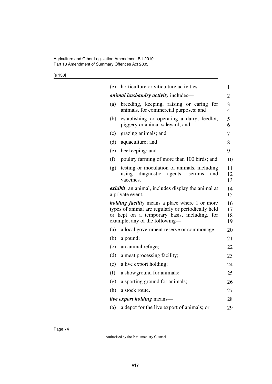[s 133]

| (e) | horticulture or viticulture activities.                                                                                                                                                       | $\mathbf{1}$         |
|-----|-----------------------------------------------------------------------------------------------------------------------------------------------------------------------------------------------|----------------------|
|     | <i>animal husbandry activity includes—</i>                                                                                                                                                    | 2                    |
| (a) | breeding, keeping, raising or caring<br>for<br>animals, for commercial purposes; and                                                                                                          | 3<br>$\overline{4}$  |
| (b) | establishing or operating a dairy, feedlot,<br>piggery or animal saleyard; and                                                                                                                | 5<br>6               |
| (c) | grazing animals; and                                                                                                                                                                          | 7                    |
| (d) | aquaculture; and                                                                                                                                                                              | 8                    |
| (e) | beekeeping; and                                                                                                                                                                               | 9                    |
| (f) | poultry farming of more than 100 birds; and                                                                                                                                                   | 10                   |
| (g) | testing or inoculation of animals, including<br>diagnostic<br>using<br>agents,<br>and<br>serums<br>vaccines.                                                                                  | 11<br>12<br>13       |
|     | exhibit, an animal, includes display the animal at<br>a private event.                                                                                                                        | 14<br>15             |
|     | <i>holding facility</i> means a place where 1 or more<br>types of animal are regularly or periodically held<br>or kept on a temporary basis, including, for<br>example, any of the following- | 16<br>17<br>18<br>19 |
| (a) | a local government reserve or commonage;                                                                                                                                                      | 20                   |
| (b) | a pound;                                                                                                                                                                                      | 21                   |
| (c) | an animal refuge;                                                                                                                                                                             | 22                   |
| (d) | a meat processing facility;                                                                                                                                                                   | 23                   |
| (e) | a live export holding;                                                                                                                                                                        | 24                   |
| (f) | a showground for animals;                                                                                                                                                                     | 25                   |
| (g) | a sporting ground for animals;                                                                                                                                                                | 26                   |
| (h) | a stock route.                                                                                                                                                                                | 27                   |
|     | <i>live export holding means—</i>                                                                                                                                                             | 28                   |
| (a) | a depot for the live export of animals; or                                                                                                                                                    | 29                   |
|     |                                                                                                                                                                                               |                      |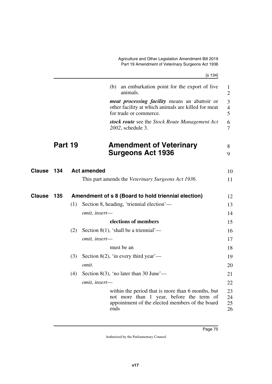Agriculture and Other Legislation Amendment Bill 2019 Part 19 Amendment of Veterinary Surgeons Act 1936

|--|--|

|               |         |     | (b) an embarkation point for the export of live<br>animals.                                                                                              | 1<br>$\overline{2}$      |
|---------------|---------|-----|----------------------------------------------------------------------------------------------------------------------------------------------------------|--------------------------|
|               |         |     | <i>meat processing facility</i> means an abattoir or<br>other facility at which animals are killed for meat<br>for trade or commerce.                    | 3<br>$\overline{4}$<br>5 |
|               |         |     | stock route see the Stock Route Management Act<br>2002, schedule 3.                                                                                      | 6<br>$\overline{7}$      |
|               | Part 19 |     | <b>Amendment of Veterinary</b><br><b>Surgeons Act 1936</b>                                                                                               | 8<br>9                   |
| Clause        | 134     |     | <b>Act amended</b>                                                                                                                                       | 10                       |
|               |         |     | This part amends the Veterinary Surgeons Act 1936.                                                                                                       | 11                       |
| <b>Clause</b> | 135     |     | Amendment of s 8 (Board to hold triennial election)                                                                                                      | 12                       |
|               |         | (1) | Section 8, heading, 'triennial election'—                                                                                                                | 13                       |
|               |         |     | omit, insert-                                                                                                                                            | 14                       |
|               |         |     | elections of members                                                                                                                                     | 15                       |
|               |         | (2) | Section 8(1), 'shall be a triennial'—                                                                                                                    | 16                       |
|               |         |     | omit, insert-                                                                                                                                            | 17                       |
|               |         |     | must be an                                                                                                                                               | 18                       |
|               |         | (3) | Section 8(2), 'in every third year'—                                                                                                                     | 19                       |
|               |         |     | omit.                                                                                                                                                    | 20                       |
|               |         | (4) | Section 8(3), 'no later than 30 June'—                                                                                                                   | 21                       |
|               |         |     | omit, insert-                                                                                                                                            | 22                       |
|               |         |     | within the period that is more than 6 months, but<br>not more than 1 year, before the term of<br>appointment of the elected members of the board<br>ends | 23<br>24<br>25<br>26     |
|               |         |     |                                                                                                                                                          |                          |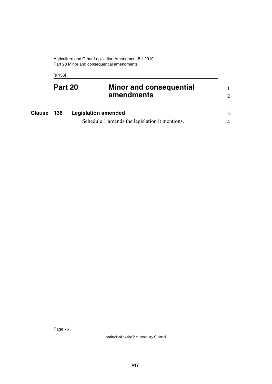[s 136]

| Part 20 | <b>Minor and consequential</b> |  |
|---------|--------------------------------|--|
|         | amendments                     |  |
|         |                                |  |

| <b>Clause 136</b> | <b>Legislation amended</b>                     |  |
|-------------------|------------------------------------------------|--|
|                   | Schedule 1 amends the legislation it mentions. |  |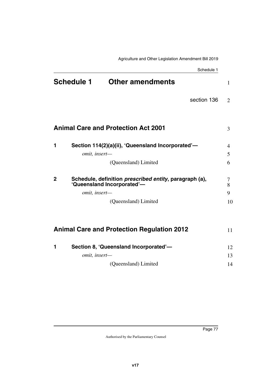|              |                   | Schedule 1                                                                                                           |                   |
|--------------|-------------------|----------------------------------------------------------------------------------------------------------------------|-------------------|
|              | <b>Schedule 1</b> | <b>Other amendments</b>                                                                                              | $\mathbf{1}$      |
|              |                   | section 136                                                                                                          | $\overline{2}$    |
|              |                   | <b>Animal Care and Protection Act 2001</b>                                                                           | 3                 |
| 1            |                   | Section 114(2)(a)(ii), 'Queensland Incorporated'-                                                                    | $\overline{4}$    |
|              | omit, insert-     | (Queensland) Limited                                                                                                 | 5<br>6            |
| $\mathbf{2}$ | omit, insert-     | Schedule, definition <i>prescribed entity</i> , paragraph (a),<br>'Queensland Incorporated'-<br>(Queensland) Limited | 7<br>8<br>9<br>10 |
|              |                   | <b>Animal Care and Protection Regulation 2012</b>                                                                    | 11                |
| 1            |                   | Section 8, 'Queensland Incorporated'-                                                                                | 12                |
|              | omit, insert-     |                                                                                                                      | 13                |
|              |                   | (Queensland) Limited                                                                                                 | 14                |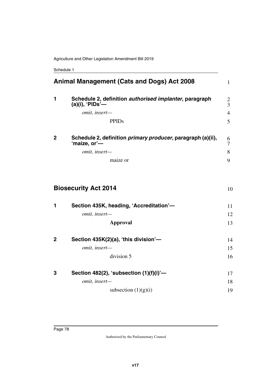Schedule 1

|              | <b>Animal Management (Cats and Dogs) Act 2008</b>                            | $\mathbf{1}$   |
|--------------|------------------------------------------------------------------------------|----------------|
| 1            | Schedule 2, definition authorised implanter, paragraph<br>$(a)(i)$ , 'PIDs'— | $\frac{2}{3}$  |
|              | omit, insert-                                                                | $\overline{4}$ |
|              | <b>PPIDs</b>                                                                 | 5              |
| $\mathbf{2}$ | Schedule 2, definition primary producer, paragraph (a)(ii),<br>'maize, or'-  | 6<br>7         |
|              | omit, insert-                                                                | 8              |
|              | maize or                                                                     | 9              |
|              | <b>Biosecurity Act 2014</b>                                                  | 10             |
| 1            | Section 435K, heading, 'Accreditation'-                                      | 11             |
|              | omit, insert-                                                                | 12             |
|              | <b>Approval</b>                                                              | 13             |
| $\mathbf 2$  | Section 435K(2)(a), 'this division'-                                         | 14             |
|              | omit, insert-                                                                | 15             |
|              | division 5                                                                   | 16             |
| 3            | Section 482(2), 'subsection $(1)(f)(i)$ '-                                   | 17             |
|              | omit, insert-                                                                | 18             |
|              | subsection $(1)(g)(i)$                                                       | 19             |
|              |                                                                              |                |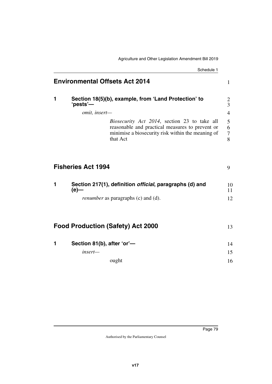Agriculture and Other Legislation Amendment Bill 2019

|   | Schedule 1                                                                                                                                                               |  |
|---|--------------------------------------------------------------------------------------------------------------------------------------------------------------------------|--|
|   | <b>Environmental Offsets Act 2014</b>                                                                                                                                    |  |
| 1 | Section 18(5)(b), example, from 'Land Protection' to<br>'pests'—                                                                                                         |  |
|   | omit, insert-                                                                                                                                                            |  |
|   | <i>Biosecurity Act 2014</i> , section 23 to take all<br>reasonable and practical measures to prevent or<br>minimise a biosecurity risk within the meaning of<br>that Act |  |
|   | <b>Fisheries Act 1994</b>                                                                                                                                                |  |
| 1 | Section 217(1), definition <i>official</i> , paragraphs (d) and<br>$(e)$ —                                                                                               |  |
|   | <i>renumber</i> as paragraphs (c) and (d).                                                                                                                               |  |
|   | <b>Food Production (Safety) Act 2000</b>                                                                                                                                 |  |
| 1 | Section 81(b), after 'or'-                                                                                                                                               |  |
|   | insert-                                                                                                                                                                  |  |
|   | ought                                                                                                                                                                    |  |
|   |                                                                                                                                                                          |  |